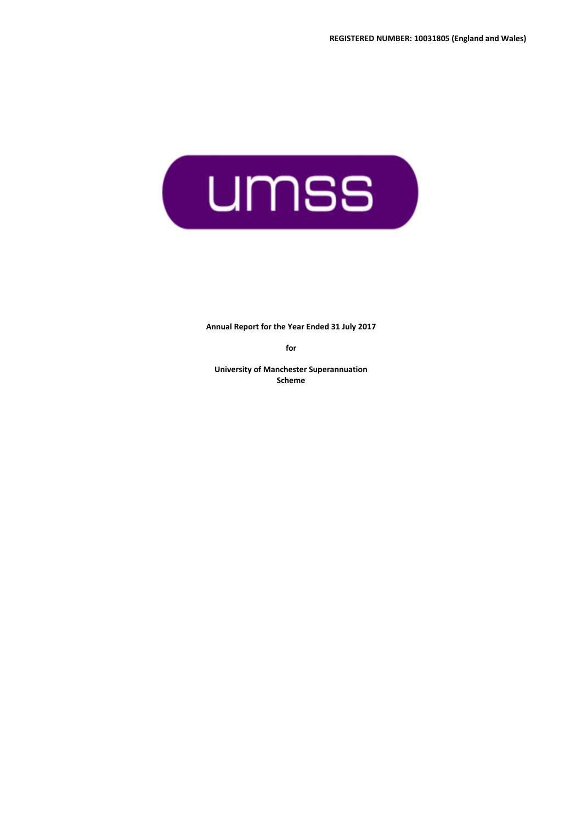

**Annual Report for the Year Ended 31 July 2017**

**for**

**University of Manchester Superannuation Scheme**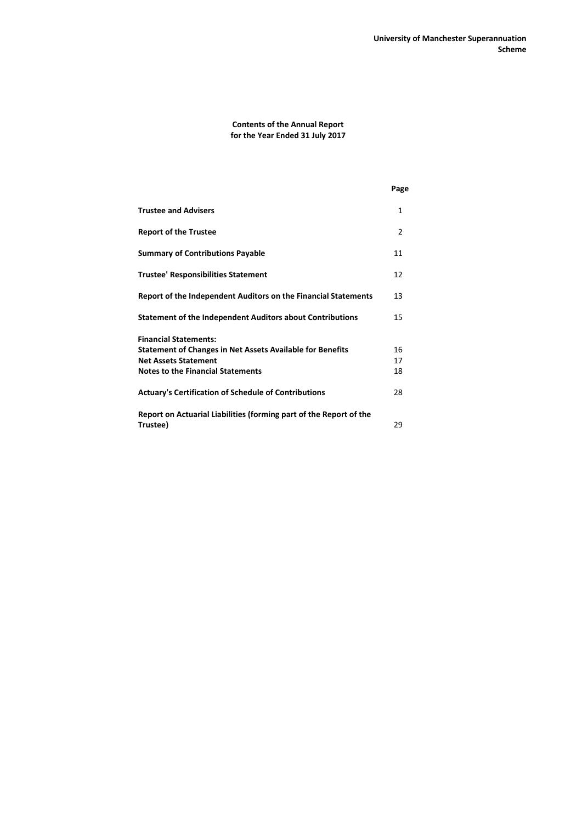# **Contents of the Annual Report for the Year Ended 31 July 2017**

|                                                                    | Page |
|--------------------------------------------------------------------|------|
| <b>Trustee and Advisers</b>                                        | 1    |
| <b>Report of the Trustee</b>                                       | 2    |
| <b>Summary of Contributions Payable</b>                            | 11   |
| <b>Trustee' Responsibilities Statement</b>                         | 12   |
| Report of the Independent Auditors on the Financial Statements     | 13   |
| <b>Statement of the Independent Auditors about Contributions</b>   | 15   |
| <b>Financial Statements:</b>                                       |      |
| <b>Statement of Changes in Net Assets Available for Benefits</b>   | 16   |
| <b>Net Assets Statement</b>                                        | 17   |
| <b>Notes to the Financial Statements</b>                           | 18   |
| <b>Actuary's Certification of Schedule of Contributions</b>        | 28   |
| Report on Actuarial Liabilities (forming part of the Report of the |      |
| Trustee)                                                           | 29   |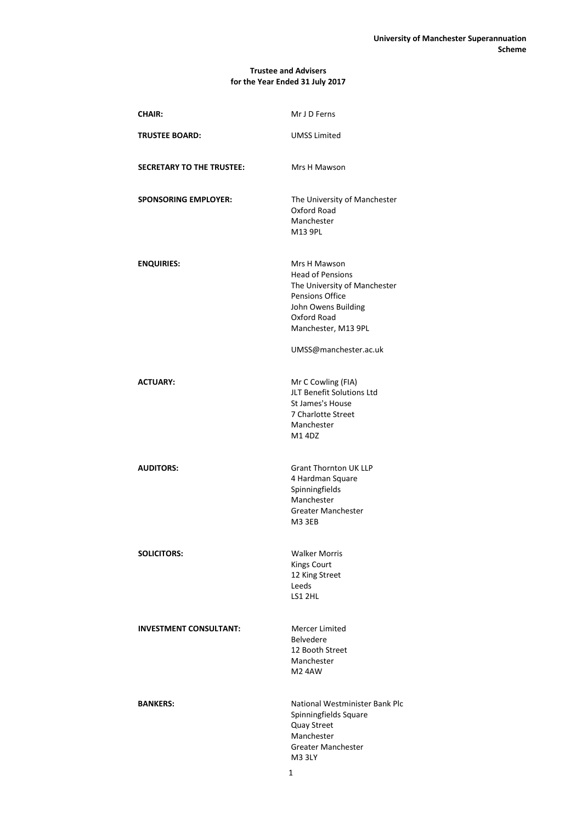## **Trustee and Advisers for the Year Ended 31 July 2017**

| <b>CHAIR:</b>                    | Mr J D Ferns                                                                                                                                                                     |
|----------------------------------|----------------------------------------------------------------------------------------------------------------------------------------------------------------------------------|
| <b>TRUSTEE BOARD:</b>            | <b>UMSS Limited</b>                                                                                                                                                              |
| <b>SECRETARY TO THE TRUSTEE:</b> | Mrs H Mawson                                                                                                                                                                     |
| <b>SPONSORING EMPLOYER:</b>      | The University of Manchester<br>Oxford Road<br>Manchester<br>M13 9PL                                                                                                             |
| <b>ENQUIRIES:</b>                | Mrs H Mawson<br><b>Head of Pensions</b><br>The University of Manchester<br>Pensions Office<br>John Owens Building<br>Oxford Road<br>Manchester, M13 9PL<br>UMSS@manchester.ac.uk |
| <b>ACTUARY:</b>                  | Mr C Cowling (FIA)<br>JLT Benefit Solutions Ltd<br>St James's House<br>7 Charlotte Street<br>Manchester<br>M14DZ                                                                 |
| <b>AUDITORS:</b>                 | <b>Grant Thornton UK LLP</b><br>4 Hardman Square<br>Spinningfields<br>Manchester<br><b>Greater Manchester</b><br>M3 3EB                                                          |
| <b>SOLICITORS:</b>               | <b>Walker Morris</b><br><b>Kings Court</b><br>12 King Street<br>Leeds<br>LS1 2HL                                                                                                 |
| <b>INVESTMENT CONSULTANT:</b>    | Mercer Limited<br><b>Belvedere</b><br>12 Booth Street<br>Manchester<br><b>M24AW</b>                                                                                              |
| <b>BANKERS:</b>                  | National Westminister Bank Plc<br>Spinningfields Square<br>Quay Street<br>Manchester<br><b>Greater Manchester</b><br>M3 3LY                                                      |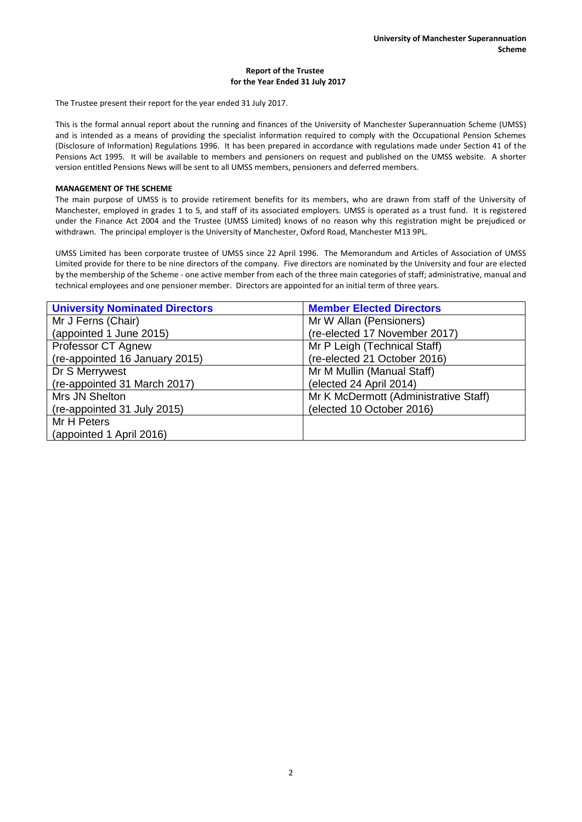The Trustee present their report for the year ended 31 July 2017.

This is the formal annual report about the running and finances of the University of Manchester Superannuation Scheme (UMSS) and is intended as a means of providing the specialist information required to comply with the Occupational Pension Schemes (Disclosure of Information) Regulations 1996. It has been prepared in accordance with regulations made under Section 41 of the Pensions Act 1995. It will be available to members and pensioners on request and published on the UMSS website. A shorter version entitled Pensions News will be sent to all UMSS members, pensioners and deferred members.

### **MANAGEMENT OF THE SCHEME**

The main purpose of UMSS is to provide retirement benefits for its members, who are drawn from staff of the University of Manchester, employed in grades 1 to 5, and staff of its associated employers. UMSS is operated as a trust fund. It is registered under the Finance Act 2004 and the Trustee (UMSS Limited) knows of no reason why this registration might be prejudiced or withdrawn. The principal employer is the University of Manchester, Oxford Road, Manchester M13 9PL.

UMSS Limited has been corporate trustee of UMSS since 22 April 1996. The Memorandum and Articles of Association of UMSS Limited provide for there to be nine directors of the company. Five directors are nominated by the University and four are elected by the membership of the Scheme - one active member from each of the three main categories of staff; administrative, manual and technical employees and one pensioner member. Directors are appointed for an initial term of three years.

| <b>University Nominated Directors</b> | <b>Member Elected Directors</b>       |
|---------------------------------------|---------------------------------------|
| Mr J Ferns (Chair)                    | Mr W Allan (Pensioners)               |
| (appointed 1 June 2015)               | (re-elected 17 November 2017)         |
| Professor CT Agnew                    | Mr P Leigh (Technical Staff)          |
| (re-appointed 16 January 2015)        | (re-elected 21 October 2016)          |
| Dr S Merrywest                        | Mr M Mullin (Manual Staff)            |
| (re-appointed 31 March 2017)          | (elected 24 April 2014)               |
| Mrs JN Shelton                        | Mr K McDermott (Administrative Staff) |
| (re-appointed 31 July 2015)           | (elected 10 October 2016)             |
| Mr H Peters                           |                                       |
| (appointed 1 April 2016)              |                                       |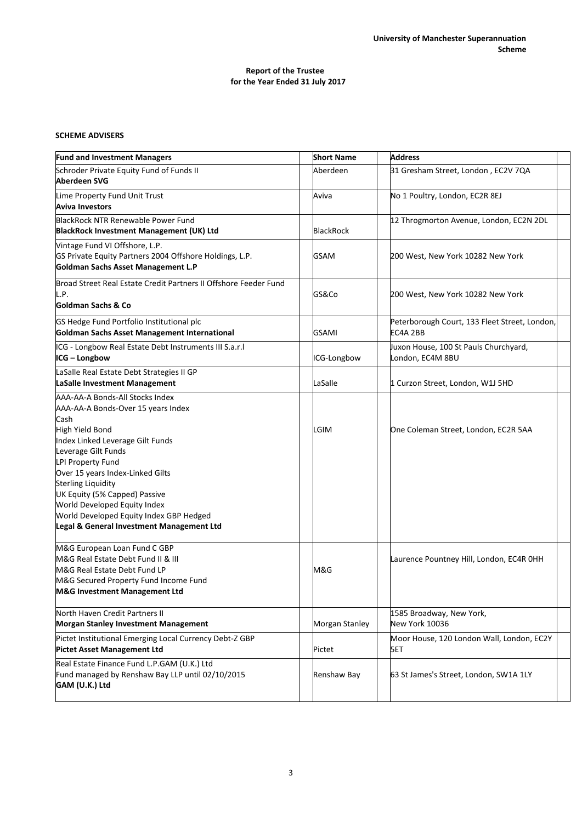# **SCHEME ADVISERS**

| <b>Fund and Investment Managers</b>                                                                                                                                                                                                                                                                                                                                                                        | <b>Short Name</b> | <b>Address</b>                                            |
|------------------------------------------------------------------------------------------------------------------------------------------------------------------------------------------------------------------------------------------------------------------------------------------------------------------------------------------------------------------------------------------------------------|-------------------|-----------------------------------------------------------|
| Schroder Private Equity Fund of Funds II<br><b>Aberdeen SVG</b>                                                                                                                                                                                                                                                                                                                                            | Aberdeen          | 31 Gresham Street, London, EC2V 7QA                       |
| Lime Property Fund Unit Trust<br><b>Aviva Investors</b>                                                                                                                                                                                                                                                                                                                                                    | Aviva             | No 1 Poultry, London, EC2R 8EJ                            |
| <b>BlackRock NTR Renewable Power Fund</b><br><b>BlackRock Investment Management (UK) Ltd</b>                                                                                                                                                                                                                                                                                                               | <b>BlackRock</b>  | 12 Throgmorton Avenue, London, EC2N 2DL                   |
| Vintage Fund VI Offshore, L.P.<br>GS Private Equity Partners 2004 Offshore Holdings, L.P.<br>Goldman Sachs Asset Management L.P                                                                                                                                                                                                                                                                            | GSAM              | 200 West, New York 10282 New York                         |
| Broad Street Real Estate Credit Partners II Offshore Feeder Fund<br>L.P.<br>Goldman Sachs & Co                                                                                                                                                                                                                                                                                                             | GS&Co             | 200 West, New York 10282 New York                         |
| GS Hedge Fund Portfolio Institutional plc<br>Goldman Sachs Asset Management International                                                                                                                                                                                                                                                                                                                  | GSAMI             | Peterborough Court, 133 Fleet Street, London,<br>EC4A 2BB |
| ICG - Longbow Real Estate Debt Instruments III S.a.r.I<br>ICG - Longbow                                                                                                                                                                                                                                                                                                                                    | ICG-Longbow       | Juxon House, 100 St Pauls Churchyard,<br>London, EC4M 8BU |
| LaSalle Real Estate Debt Strategies II GP<br><b>LaSalle Investment Management</b>                                                                                                                                                                                                                                                                                                                          | LaSalle           | 1 Curzon Street, London, W1J 5HD                          |
| AAA-AA-A Bonds-All Stocks Index<br>AAA-AA-A Bonds-Over 15 years Index<br>Cash<br>High Yield Bond<br>Index Linked Leverage Gilt Funds<br>Leverage Gilt Funds<br>LPI Property Fund<br>Over 15 years Index-Linked Gilts<br><b>Sterling Liquidity</b><br>UK Equity (5% Capped) Passive<br>World Developed Equity Index<br>World Developed Equity Index GBP Hedged<br>Legal & General Investment Management Ltd | LGIM              | One Coleman Street, London, EC2R 5AA                      |
| M&G European Loan Fund C GBP<br>M&G Real Estate Debt Fund II & III<br>M&G Real Estate Debt Fund LP<br>M&G Secured Property Fund Income Fund<br>M&G Investment Management Ltd                                                                                                                                                                                                                               | M&G               | Laurence Pountney Hill, London, EC4R OHH                  |
| North Haven Credit Partners II<br><b>Morgan Stanley Investment Management</b>                                                                                                                                                                                                                                                                                                                              | Morgan Stanley    | 1585 Broadway, New York,<br>New York 10036                |
| Pictet Institutional Emerging Local Currency Debt-Z GBP<br><b>Pictet Asset Management Ltd</b>                                                                                                                                                                                                                                                                                                              | Pictet            | Moor House, 120 London Wall, London, EC2Y<br>5ET          |
| Real Estate Finance Fund L.P.GAM (U.K.) Ltd<br>Fund managed by Renshaw Bay LLP until 02/10/2015<br>GAM (U.K.) Ltd                                                                                                                                                                                                                                                                                          | Renshaw Bay       | 63 St James's Street, London, SW1A 1LY                    |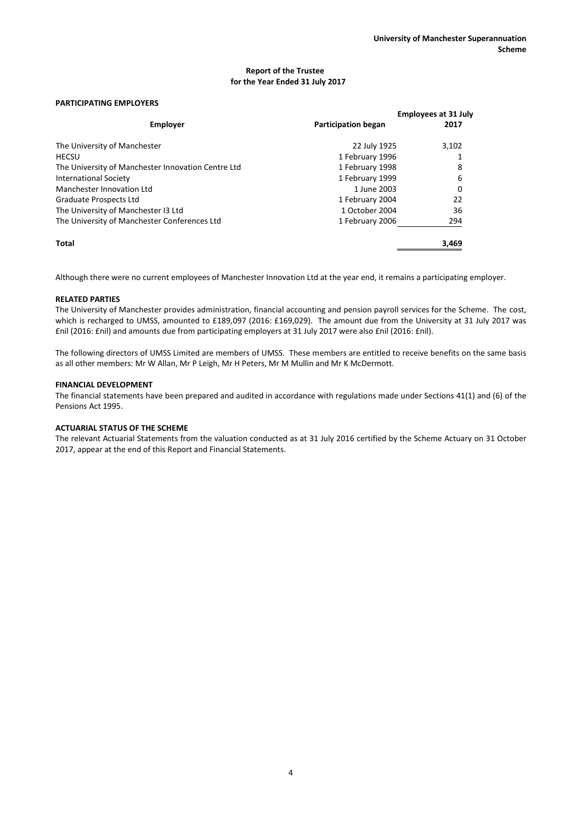## **PARTICIPATING EMPLOYERS**

| <b>FANTICIPATING EIVIPLOTENS</b>                   |                            |                                     |
|----------------------------------------------------|----------------------------|-------------------------------------|
| Employer                                           | <b>Participation began</b> | <b>Employees at 31 July</b><br>2017 |
| The University of Manchester                       | 22 July 1925               | 3,102                               |
| <b>HECSU</b>                                       | 1 February 1996            |                                     |
| The University of Manchester Innovation Centre Ltd | 1 February 1998            | 8                                   |
| <b>International Society</b>                       | 1 February 1999            | 6                                   |
| Manchester Innovation Ltd                          | 1 June 2003                | 0                                   |
| Graduate Prospects Ltd                             | 1 February 2004            | 22                                  |
| The University of Manchester I3 Ltd                | 1 October 2004             | 36                                  |
| The University of Manchester Conferences Ltd       | 1 February 2006            | 294                                 |
| Total                                              |                            | 3,469                               |

Although there were no current employees of Manchester Innovation Ltd at the year end, it remains a participating employer.

## **RELATED PARTIES**

The University of Manchester provides administration, financial accounting and pension payroll services for the Scheme. The cost, which is recharged to UMSS, amounted to £189,097 (2016: £169,029). The amount due from the University at 31 July 2017 was £nil (2016: £nil) and amounts due from participating employers at 31 July 2017 were also £nil (2016: £nil).

The following directors of UMSS Limited are members of UMSS. These members are entitled to receive benefits on the same basis as all other members: Mr W Allan, Mr P Leigh, Mr H Peters, Mr M Mullin and Mr K McDermott.

### **FINANCIAL DEVELOPMENT**

The financial statements have been prepared and audited in accordance with regulations made under Sections 41(1) and (6) of the Pensions Act 1995.

## **ACTUARIAL STATUS OF THE SCHEME**

The relevant Actuarial Statements from the valuation conducted as at 31 July 2016 certified by the Scheme Actuary on 31 October 2017, appear at the end of this Report and Financial Statements.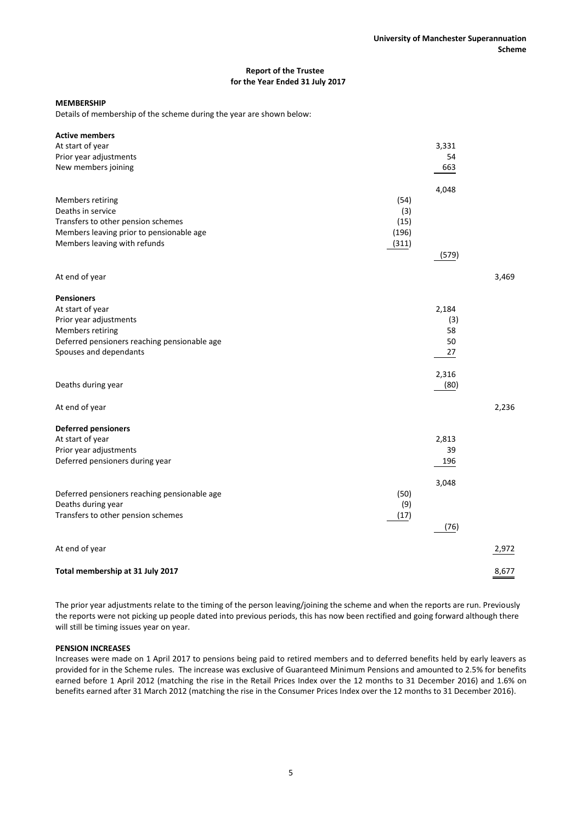## **MEMBERSHIP**

Details of membership of the scheme during the year are shown below:

| <b>Active members</b>                        |       |       |       |
|----------------------------------------------|-------|-------|-------|
| At start of year                             |       | 3,331 |       |
| Prior year adjustments                       |       | 54    |       |
| New members joining                          |       | 663   |       |
|                                              |       |       |       |
|                                              |       | 4,048 |       |
| Members retiring                             | (54)  |       |       |
| Deaths in service                            | (3)   |       |       |
| Transfers to other pension schemes           | (15)  |       |       |
| Members leaving prior to pensionable age     | (196) |       |       |
| Members leaving with refunds                 | (311) |       |       |
|                                              |       | (579) |       |
|                                              |       |       |       |
| At end of year                               |       |       | 3,469 |
| <b>Pensioners</b>                            |       |       |       |
| At start of year                             |       | 2,184 |       |
| Prior year adjustments                       |       | (3)   |       |
| Members retiring                             |       | 58    |       |
| Deferred pensioners reaching pensionable age |       | 50    |       |
| Spouses and dependants                       |       | 27    |       |
|                                              |       |       |       |
|                                              |       | 2,316 |       |
| Deaths during year                           |       | (80)  |       |
|                                              |       |       |       |
| At end of year                               |       |       | 2,236 |
| <b>Deferred pensioners</b>                   |       |       |       |
| At start of year                             |       | 2,813 |       |
| Prior year adjustments                       |       | 39    |       |
| Deferred pensioners during year              |       | 196   |       |
|                                              |       |       |       |
|                                              |       | 3,048 |       |
| Deferred pensioners reaching pensionable age | (50)  |       |       |
| Deaths during year                           | (9)   |       |       |
| Transfers to other pension schemes           | (17)  |       |       |
|                                              |       | (76)  |       |
|                                              |       |       |       |
| At end of year                               |       |       | 2,972 |
| Total membership at 31 July 2017             |       |       | 8,677 |
|                                              |       |       |       |

The prior year adjustments relate to the timing of the person leaving/joining the scheme and when the reports are run. Previously the reports were not picking up people dated into previous periods, this has now been rectified and going forward although there will still be timing issues year on year.

#### **PENSION INCREASES**

Increases were made on 1 April 2017 to pensions being paid to retired members and to deferred benefits held by early leavers as provided for in the Scheme rules. The increase was exclusive of Guaranteed Minimum Pensions and amounted to 2.5% for benefits earned before 1 April 2012 (matching the rise in the Retail Prices Index over the 12 months to 31 December 2016) and 1.6% on benefits earned after 31 March 2012 (matching the rise in the Consumer Prices Index over the 12 months to 31 December 2016).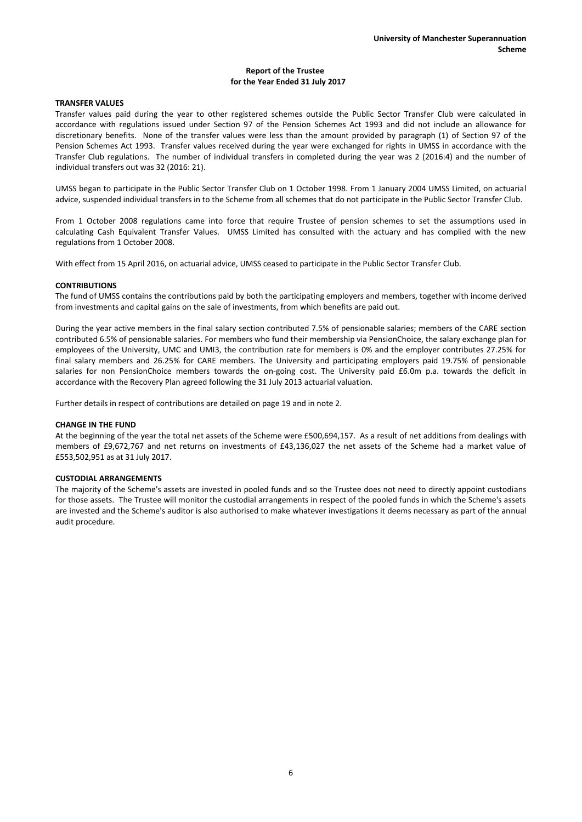## **TRANSFER VALUES**

Transfer values paid during the year to other registered schemes outside the Public Sector Transfer Club were calculated in accordance with regulations issued under Section 97 of the Pension Schemes Act 1993 and did not include an allowance for discretionary benefits. None of the transfer values were less than the amount provided by paragraph (1) of Section 97 of the Pension Schemes Act 1993. Transfer values received during the year were exchanged for rights in UMSS in accordance with the Transfer Club regulations. The number of individual transfers in completed during the year was 2 (2016:4) and the number of individual transfers out was 32 (2016: 21).

UMSS began to participate in the Public Sector Transfer Club on 1 October 1998. From 1 January 2004 UMSS Limited, on actuarial advice, suspended individual transfers in to the Scheme from all schemes that do not participate in the Public Sector Transfer Club.

From 1 October 2008 regulations came into force that require Trustee of pension schemes to set the assumptions used in calculating Cash Equivalent Transfer Values. UMSS Limited has consulted with the actuary and has complied with the new regulations from 1 October 2008.

With effect from 15 April 2016, on actuarial advice, UMSS ceased to participate in the Public Sector Transfer Club.

### **CONTRIBUTIONS**

The fund of UMSS contains the contributions paid by both the participating employers and members, together with income derived from investments and capital gains on the sale of investments, from which benefits are paid out.

During the year active members in the final salary section contributed 7.5% of pensionable salaries; members of the CARE section contributed 6.5% of pensionable salaries. For members who fund their membership via PensionChoice, the salary exchange plan for employees of the University, UMC and UMI3, the contribution rate for members is 0% and the employer contributes 27.25% for final salary members and 26.25% for CARE members. The University and participating employers paid 19.75% of pensionable salaries for non PensionChoice members towards the on-going cost. The University paid £6.0m p.a. towards the deficit in accordance with the Recovery Plan agreed following the 31 July 2013 actuarial valuation.

Further details in respect of contributions are detailed on page 19 and in note 2.

#### **CHANGE IN THE FUND**

At the beginning of the year the total net assets of the Scheme were £500,694,157. As a result of net additions from dealings with members of £9,672,767 and net returns on investments of £43,136,027 the net assets of the Scheme had a market value of £553,502,951 as at 31 July 2017.

#### **CUSTODIAL ARRANGEMENTS**

The majority of the Scheme's assets are invested in pooled funds and so the Trustee does not need to directly appoint custodians for those assets. The Trustee will monitor the custodial arrangements in respect of the pooled funds in which the Scheme's assets are invested and the Scheme's auditor is also authorised to make whatever investigations it deems necessary as part of the annual audit procedure.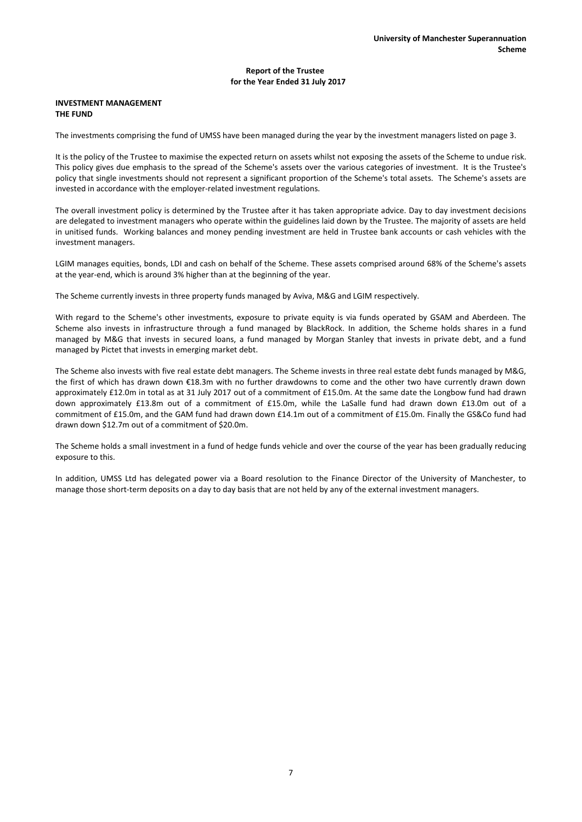### **INVESTMENT MANAGEMENT THE FUND**

The investments comprising the fund of UMSS have been managed during the year by the investment managers listed on page 3.

It is the policy of the Trustee to maximise the expected return on assets whilst not exposing the assets of the Scheme to undue risk. This policy gives due emphasis to the spread of the Scheme's assets over the various categories of investment. It is the Trustee's policy that single investments should not represent a significant proportion of the Scheme's total assets. The Scheme's assets are invested in accordance with the employer-related investment regulations.

The overall investment policy is determined by the Trustee after it has taken appropriate advice. Day to day investment decisions are delegated to investment managers who operate within the guidelines laid down by the Trustee. The majority of assets are held in unitised funds. Working balances and money pending investment are held in Trustee bank accounts or cash vehicles with the investment managers.

LGIM manages equities, bonds, LDI and cash on behalf of the Scheme. These assets comprised around 68% of the Scheme's assets at the year-end, which is around 3% higher than at the beginning of the year.

The Scheme currently invests in three property funds managed by Aviva, M&G and LGIM respectively.

With regard to the Scheme's other investments, exposure to private equity is via funds operated by GSAM and Aberdeen. The Scheme also invests in infrastructure through a fund managed by BlackRock. In addition, the Scheme holds shares in a fund managed by M&G that invests in secured loans, a fund managed by Morgan Stanley that invests in private debt, and a fund managed by Pictet that invests in emerging market debt.

The Scheme also invests with five real estate debt managers. The Scheme invests in three real estate debt funds managed by M&G, the first of which has drawn down €18.3m with no further drawdowns to come and the other two have currently drawn down approximately £12.0m in total as at 31 July 2017 out of a commitment of £15.0m. At the same date the Longbow fund had drawn down approximately £13.8m out of a commitment of £15.0m, while the LaSalle fund had drawn down £13.0m out of a commitment of £15.0m, and the GAM fund had drawn down £14.1m out of a commitment of £15.0m. Finally the GS&Co fund had drawn down \$12.7m out of a commitment of \$20.0m.

The Scheme holds a small investment in a fund of hedge funds vehicle and over the course of the year has been gradually reducing exposure to this.

In addition, UMSS Ltd has delegated power via a Board resolution to the Finance Director of the University of Manchester, to manage those short-term deposits on a day to day basis that are not held by any of the external investment managers.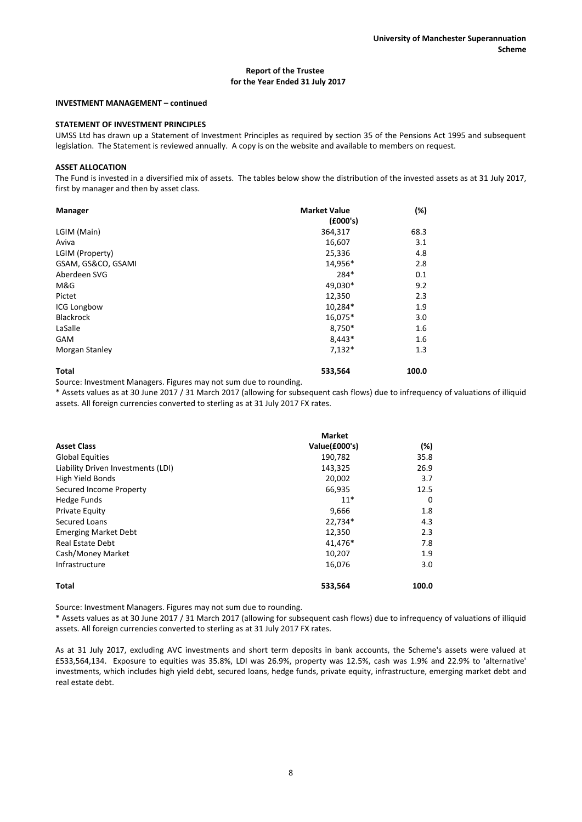#### **INVESTMENT MANAGEMENT – continued**

## **STATEMENT OF INVESTMENT PRINCIPLES**

UMSS Ltd has drawn up a Statement of Investment Principles as required by section 35 of the Pensions Act 1995 and subsequent legislation. The Statement is reviewed annually. A copy is on the website and available to members on request.

#### **ASSET ALLOCATION**

The Fund is invested in a diversified mix of assets. The tables below show the distribution of the invested assets as at 31 July 2017, first by manager and then by asset class.

| <b>Manager</b>     | <b>Market Value</b><br>(£000's) | (%)   |
|--------------------|---------------------------------|-------|
| LGIM (Main)        | 364,317                         | 68.3  |
| Aviva              | 16,607                          | 3.1   |
| LGIM (Property)    | 25,336                          | 4.8   |
| GSAM, GS&CO, GSAMI | 14,956*                         | 2.8   |
| Aberdeen SVG       | 284*                            | 0.1   |
| M&G                | 49,030*                         | 9.2   |
| Pictet             | 12,350                          | 2.3   |
| <b>ICG Longbow</b> | 10,284*                         | 1.9   |
| <b>Blackrock</b>   | 16,075*                         | 3.0   |
| LaSalle            | 8,750*                          | 1.6   |
| <b>GAM</b>         | 8,443*                          | 1.6   |
| Morgan Stanley     | $7,132*$                        | 1.3   |
| <b>Total</b>       | 533,564                         | 100.0 |

Source: Investment Managers. Figures may not sum due to rounding.

\* Assets values as at 30 June 2017 / 31 March 2017 (allowing for subsequent cash flows) due to infrequency of valuations of illiquid assets. All foreign currencies converted to sterling as at 31 July 2017 FX rates.

|                                    | <b>Market</b> |       |
|------------------------------------|---------------|-------|
| <b>Asset Class</b>                 | Value(£000's) | (%)   |
| <b>Global Equities</b>             | 190,782       | 35.8  |
| Liability Driven Investments (LDI) | 143,325       | 26.9  |
| High Yield Bonds                   | 20,002        | 3.7   |
| Secured Income Property            | 66,935        | 12.5  |
| Hedge Funds                        | $11*$         | 0     |
| Private Equity                     | 9,666         | 1.8   |
| Secured Loans                      | 22,734*       | 4.3   |
| <b>Emerging Market Debt</b>        | 12,350        | 2.3   |
| <b>Real Estate Debt</b>            | 41,476*       | 7.8   |
| Cash/Money Market                  | 10,207        | 1.9   |
| Infrastructure                     | 16,076        | 3.0   |
| <b>Total</b>                       | 533,564       | 100.0 |

Source: Investment Managers. Figures may not sum due to rounding.

\* Assets values as at 30 June 2017 / 31 March 2017 (allowing for subsequent cash flows) due to infrequency of valuations of illiquid assets. All foreign currencies converted to sterling as at 31 July 2017 FX rates.

As at 31 July 2017, excluding AVC investments and short term deposits in bank accounts, the Scheme's assets were valued at £533,564,134. Exposure to equities was 35.8%, LDI was 26.9%, property was 12.5%, cash was 1.9% and 22.9% to 'alternative' investments, which includes high yield debt, secured loans, hedge funds, private equity, infrastructure, emerging market debt and real estate debt.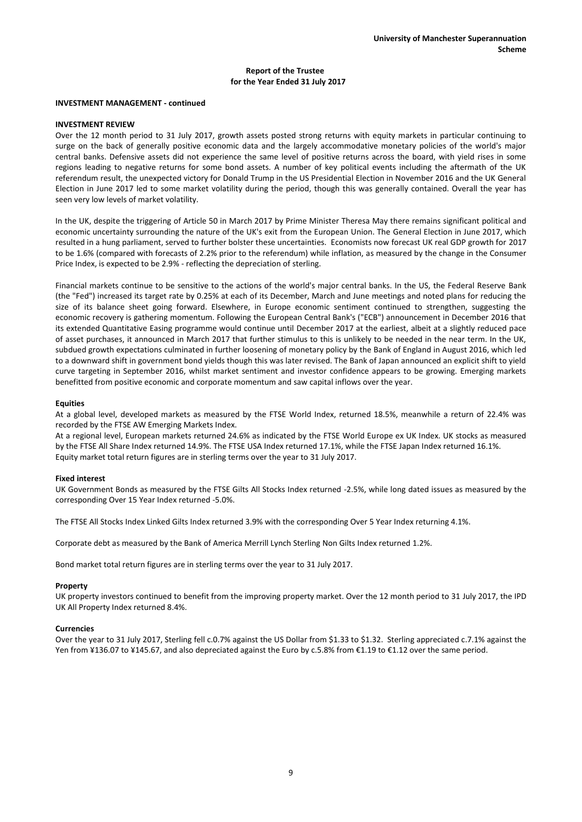#### **INVESTMENT MANAGEMENT - continued**

### **INVESTMENT REVIEW**

Over the 12 month period to 31 July 2017, growth assets posted strong returns with equity markets in particular continuing to surge on the back of generally positive economic data and the largely accommodative monetary policies of the world's major central banks. Defensive assets did not experience the same level of positive returns across the board, with yield rises in some regions leading to negative returns for some bond assets. A number of key political events including the aftermath of the UK referendum result, the unexpected victory for Donald Trump in the US Presidential Election in November 2016 and the UK General Election in June 2017 led to some market volatility during the period, though this was generally contained. Overall the year has seen very low levels of market volatility.

In the UK, despite the triggering of Article 50 in March 2017 by Prime Minister Theresa May there remains significant political and economic uncertainty surrounding the nature of the UK's exit from the European Union. The General Election in June 2017, which resulted in a hung parliament, served to further bolster these uncertainties. Economists now forecast UK real GDP growth for 2017 to be 1.6% (compared with forecasts of 2.2% prior to the referendum) while inflation, as measured by the change in the Consumer Price Index, is expected to be 2.9% - reflecting the depreciation of sterling.

Financial markets continue to be sensitive to the actions of the world's major central banks. In the US, the Federal Reserve Bank (the "Fed") increased its target rate by 0.25% at each of its December, March and June meetings and noted plans for reducing the size of its balance sheet going forward. Elsewhere, in Europe economic sentiment continued to strengthen, suggesting the economic recovery is gathering momentum. Following the European Central Bank's ("ECB") announcement in December 2016 that its extended Quantitative Easing programme would continue until December 2017 at the earliest, albeit at a slightly reduced pace of asset purchases, it announced in March 2017 that further stimulus to this is unlikely to be needed in the near term. In the UK, subdued growth expectations culminated in further loosening of monetary policy by the Bank of England in August 2016, which led to a downward shift in government bond yields though this was later revised. The Bank of Japan announced an explicit shift to yield curve targeting in September 2016, whilst market sentiment and investor confidence appears to be growing. Emerging markets benefitted from positive economic and corporate momentum and saw capital inflows over the year.

### **Equities**

At a global level, developed markets as measured by the FTSE World Index, returned 18.5%, meanwhile a return of 22.4% was recorded by the FTSE AW Emerging Markets Index.

At a regional level, European markets returned 24.6% as indicated by the FTSE World Europe ex UK Index. UK stocks as measured by the FTSE All Share Index returned 14.9%. The FTSE USA Index returned 17.1%, while the FTSE Japan Index returned 16.1%. Equity market total return figures are in sterling terms over the year to 31 July 2017.

## **Fixed interest**

UK Government Bonds as measured by the FTSE Gilts All Stocks Index returned -2.5%, while long dated issues as measured by the corresponding Over 15 Year Index returned -5.0%.

The FTSE All Stocks Index Linked Gilts Index returned 3.9% with the corresponding Over 5 Year Index returning 4.1%.

Corporate debt as measured by the Bank of America Merrill Lynch Sterling Non Gilts Index returned 1.2%.

Bond market total return figures are in sterling terms over the year to 31 July 2017.

#### **Property**

UK property investors continued to benefit from the improving property market. Over the 12 month period to 31 July 2017, the IPD UK All Property Index returned 8.4%.

#### **Currencies**

Over the year to 31 July 2017, Sterling fell c.0.7% against the US Dollar from \$1.33 to \$1.32. Sterling appreciated c.7.1% against the Yen from ¥136.07 to ¥145.67, and also depreciated against the Euro by c.5.8% from €1.19 to €1.12 over the same period.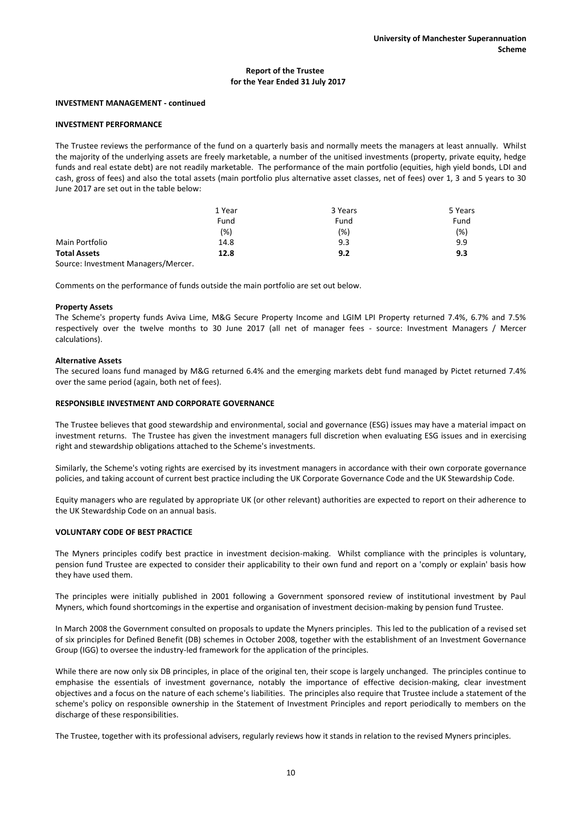#### **INVESTMENT MANAGEMENT - continued**

### **INVESTMENT PERFORMANCE**

The Trustee reviews the performance of the fund on a quarterly basis and normally meets the managers at least annually. Whilst the majority of the underlying assets are freely marketable, a number of the unitised investments (property, private equity, hedge funds and real estate debt) are not readily marketable. The performance of the main portfolio (equities, high yield bonds, LDI and cash, gross of fees) and also the total assets (main portfolio plus alternative asset classes, net of fees) over 1, 3 and 5 years to 30 June 2017 are set out in the table below:

|                     | 1 Year | 3 Years | 5 Years |
|---------------------|--------|---------|---------|
|                     | Fund   | Fund    | Fund    |
|                     | (% )   | $(\%)$  | (%)     |
| Main Portfolio      | 14.8   | 9.3     | 9.9     |
| <b>Total Assets</b> | 12.8   | 9.2     | 9.3     |

Source: Investment Managers/Mercer.

Comments on the performance of funds outside the main portfolio are set out below.

#### **Property Assets**

The Scheme's property funds Aviva Lime, M&G Secure Property Income and LGIM LPI Property returned 7.4%, 6.7% and 7.5% respectively over the twelve months to 30 June 2017 (all net of manager fees - source: Investment Managers / Mercer calculations).

## **Alternative Assets**

The secured loans fund managed by M&G returned 6.4% and the emerging markets debt fund managed by Pictet returned 7.4% over the same period (again, both net of fees).

#### **RESPONSIBLE INVESTMENT AND CORPORATE GOVERNANCE**

The Trustee believes that good stewardship and environmental, social and governance (ESG) issues may have a material impact on investment returns. The Trustee has given the investment managers full discretion when evaluating ESG issues and in exercising right and stewardship obligations attached to the Scheme's investments.

Similarly, the Scheme's voting rights are exercised by its investment managers in accordance with their own corporate governance policies, and taking account of current best practice including the UK Corporate Governance Code and the UK Stewardship Code.

Equity managers who are regulated by appropriate UK (or other relevant) authorities are expected to report on their adherence to the UK Stewardship Code on an annual basis.

#### **VOLUNTARY CODE OF BEST PRACTICE**

The Myners principles codify best practice in investment decision-making. Whilst compliance with the principles is voluntary, pension fund Trustee are expected to consider their applicability to their own fund and report on a 'comply or explain' basis how they have used them.

The principles were initially published in 2001 following a Government sponsored review of institutional investment by Paul Myners, which found shortcomings in the expertise and organisation of investment decision-making by pension fund Trustee.

In March 2008 the Government consulted on proposals to update the Myners principles. This led to the publication of a revised set of six principles for Defined Benefit (DB) schemes in October 2008, together with the establishment of an Investment Governance Group (IGG) to oversee the industry-led framework for the application of the principles.

While there are now only six DB principles, in place of the original ten, their scope is largely unchanged. The principles continue to emphasise the essentials of investment governance, notably the importance of effective decision-making, clear investment objectives and a focus on the nature of each scheme's liabilities. The principles also require that Trustee include a statement of the scheme's policy on responsible ownership in the Statement of Investment Principles and report periodically to members on the discharge of these responsibilities.

The Trustee, together with its professional advisers, regularly reviews how it stands in relation to the revised Myners principles.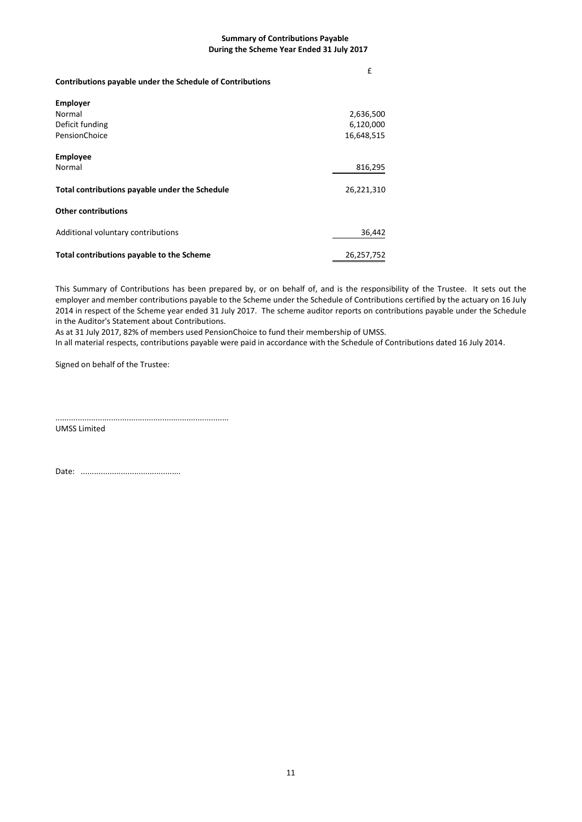## **Summary of Contributions Payable During the Scheme Year Ended 31 July 2017**

**Contributions payable under the Schedule of Contributions** 

£

| <b>Employer</b>                                |            |
|------------------------------------------------|------------|
| Normal                                         | 2,636,500  |
| Deficit funding                                | 6,120,000  |
| PensionChoice                                  | 16,648,515 |
| <b>Employee</b>                                |            |
| Normal                                         | 816,295    |
| Total contributions payable under the Schedule | 26,221,310 |
| <b>Other contributions</b>                     |            |
| Additional voluntary contributions             | 36,442     |
| Total contributions payable to the Scheme      | 26,257,752 |

This Summary of Contributions has been prepared by, or on behalf of, and is the responsibility of the Trustee. It sets out the employer and member contributions payable to the Scheme under the Schedule of Contributions certified by the actuary on 16 July 2014 in respect of the Scheme year ended 31 July 2017. The scheme auditor reports on contributions payable under the Schedule in the Auditor's Statement about Contributions.

As at 31 July 2017, 82% of members used PensionChoice to fund their membership of UMSS.

In all material respects, contributions payable were paid in accordance with the Schedule of Contributions dated 16 July 2014.

Signed on behalf of the Trustee:

..............................................................................

UMSS Limited

Date: .............................................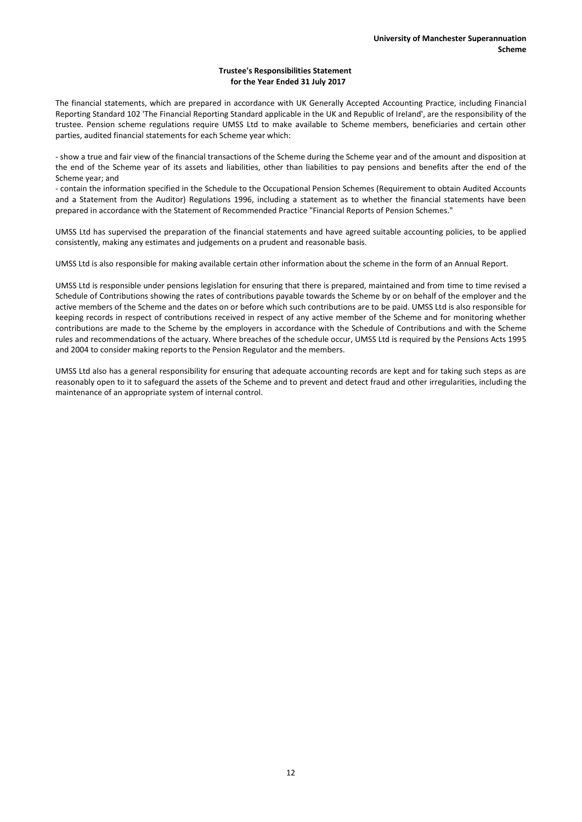## **Trustee's Responsibilities Statement for the Year Ended 31 July 2017**

The financial statements, which are prepared in accordance with UK Generally Accepted Accounting Practice, including Financial Reporting Standard 102 'The Financial Reporting Standard applicable in the UK and Republic of Ireland', are the responsibility of the trustee. Pension scheme regulations require UMSS Ltd to make available to Scheme members, beneficiaries and certain other parties, audited financial statements for each Scheme year which:

- show a true and fair view of the financial transactions of the Scheme during the Scheme year and of the amount and disposition at the end of the Scheme year of its assets and liabilities, other than liabilities to pay pensions and benefits after the end of the Scheme year; and

- contain the information specified in the Schedule to the Occupational Pension Schemes (Requirement to obtain Audited Accounts and a Statement from the Auditor) Regulations 1996, including a statement as to whether the financial statements have been prepared in accordance with the Statement of Recommended Practice "Financial Reports of Pension Schemes."

UMSS Ltd has supervised the preparation of the financial statements and have agreed suitable accounting policies, to be applied consistently, making any estimates and judgements on a prudent and reasonable basis.

UMSS Ltd is also responsible for making available certain other information about the scheme in the form of an Annual Report.

UMSS Ltd is responsible under pensions legislation for ensuring that there is prepared, maintained and from time to time revised a Schedule of Contributions showing the rates of contributions payable towards the Scheme by or on behalf of the employer and the active members of the Scheme and the dates on or before which such contributions are to be paid. UMSS Ltd is also responsible for keeping records in respect of contributions received in respect of any active member of the Scheme and for monitoring whether contributions are made to the Scheme by the employers in accordance with the Schedule of Contributions and with the Scheme rules and recommendations of the actuary. Where breaches of the schedule occur, UMSS Ltd is required by the Pensions Acts 1995 and 2004 to consider making reports to the Pension Regulator and the members.

UMSS Ltd also has a general responsibility for ensuring that adequate accounting records are kept and for taking such steps as are reasonably open to it to safeguard the assets of the Scheme and to prevent and detect fraud and other irregularities, including the maintenance of an appropriate system of internal control.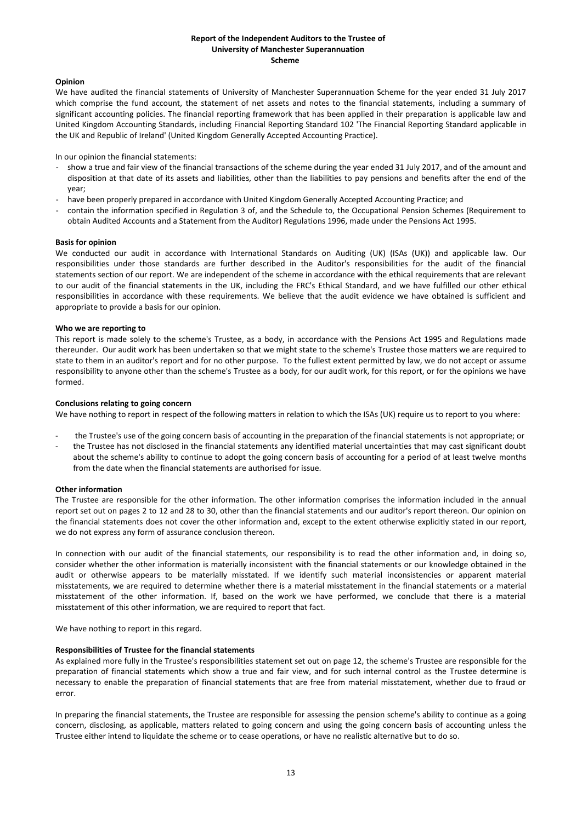## **Report of the Independent Auditors to the Trustee of University of Manchester Superannuation Scheme**

## **Opinion**

We have audited the financial statements of University of Manchester Superannuation Scheme for the year ended 31 July 2017 which comprise the fund account, the statement of net assets and notes to the financial statements, including a summary of significant accounting policies. The financial reporting framework that has been applied in their preparation is applicable law and United Kingdom Accounting Standards, including Financial Reporting Standard 102 'The Financial Reporting Standard applicable in the UK and Republic of Ireland' (United Kingdom Generally Accepted Accounting Practice).

In our opinion the financial statements:

- show a true and fair view of the financial transactions of the scheme during the year ended 31 July 2017, and of the amount and disposition at that date of its assets and liabilities, other than the liabilities to pay pensions and benefits after the end of the year;
- have been properly prepared in accordance with United Kingdom Generally Accepted Accounting Practice; and
- contain the information specified in Regulation 3 of, and the Schedule to, the Occupational Pension Schemes (Requirement to obtain Audited Accounts and a Statement from the Auditor) Regulations 1996, made under the Pensions Act 1995.

#### **Basis for opinion**

We conducted our audit in accordance with International Standards on Auditing (UK) (ISAs (UK)) and applicable law. Our responsibilities under those standards are further described in the Auditor's responsibilities for the audit of the financial statements section of our report. We are independent of the scheme in accordance with the ethical requirements that are relevant to our audit of the financial statements in the UK, including the FRC's Ethical Standard, and we have fulfilled our other ethical responsibilities in accordance with these requirements. We believe that the audit evidence we have obtained is sufficient and appropriate to provide a basis for our opinion.

### **Who we are reporting to**

This report is made solely to the scheme's Trustee, as a body, in accordance with the Pensions Act 1995 and Regulations made thereunder. Our audit work has been undertaken so that we might state to the scheme's Trustee those matters we are required to state to them in an auditor's report and for no other purpose. To the fullest extent permitted by law, we do not accept or assume responsibility to anyone other than the scheme's Trustee as a body, for our audit work, for this report, or for the opinions we have formed.

## **Conclusions relating to going concern**

We have nothing to report in respect of the following matters in relation to which the ISAs (UK) require us to report to you where:

- the Trustee's use of the going concern basis of accounting in the preparation of the financial statements is not appropriate; or
- the Trustee has not disclosed in the financial statements any identified material uncertainties that may cast significant doubt about the scheme's ability to continue to adopt the going concern basis of accounting for a period of at least twelve months from the date when the financial statements are authorised for issue.

## **Other information**

The Trustee are responsible for the other information. The other information comprises the information included in the annual report set out on pages 2 to 12 and 28 to 30, other than the financial statements and our auditor's report thereon. Our opinion on the financial statements does not cover the other information and, except to the extent otherwise explicitly stated in our report, we do not express any form of assurance conclusion thereon.

In connection with our audit of the financial statements, our responsibility is to read the other information and, in doing so, consider whether the other information is materially inconsistent with the financial statements or our knowledge obtained in the audit or otherwise appears to be materially misstated. If we identify such material inconsistencies or apparent material misstatements, we are required to determine whether there is a material misstatement in the financial statements or a material misstatement of the other information. If, based on the work we have performed, we conclude that there is a material misstatement of this other information, we are required to report that fact.

We have nothing to report in this regard.

#### **Responsibilities of Trustee for the financial statements**

As explained more fully in the Trustee's responsibilities statement set out on page 12, the scheme's Trustee are responsible for the preparation of financial statements which show a true and fair view, and for such internal control as the Trustee determine is necessary to enable the preparation of financial statements that are free from material misstatement, whether due to fraud or error.

In preparing the financial statements, the Trustee are responsible for assessing the pension scheme's ability to continue as a going concern, disclosing, as applicable, matters related to going concern and using the going concern basis of accounting unless the Trustee either intend to liquidate the scheme or to cease operations, or have no realistic alternative but to do so.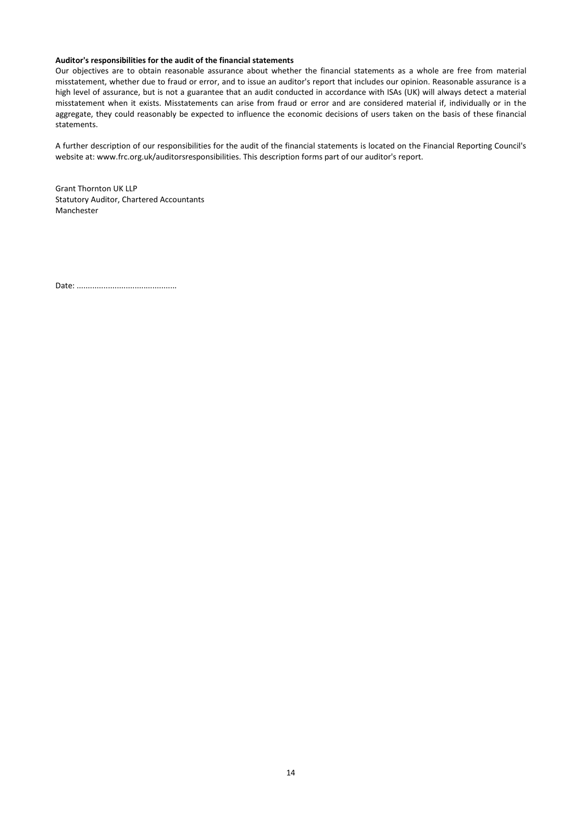### **Auditor's responsibilities for the audit of the financial statements**

Our objectives are to obtain reasonable assurance about whether the financial statements as a whole are free from material misstatement, whether due to fraud or error, and to issue an auditor's report that includes our opinion. Reasonable assurance is a high level of assurance, but is not a guarantee that an audit conducted in accordance with ISAs (UK) will always detect a material misstatement when it exists. Misstatements can arise from fraud or error and are considered material if, individually or in the aggregate, they could reasonably be expected to influence the economic decisions of users taken on the basis of these financial statements.

A further description of our responsibilities for the audit of the financial statements is located on the Financial Reporting Council's website at: www.frc.org.uk/auditorsresponsibilities. This description forms part of our auditor's report.

Grant Thornton UK LLP Statutory Auditor, Chartered Accountants Manchester

Date: .............................................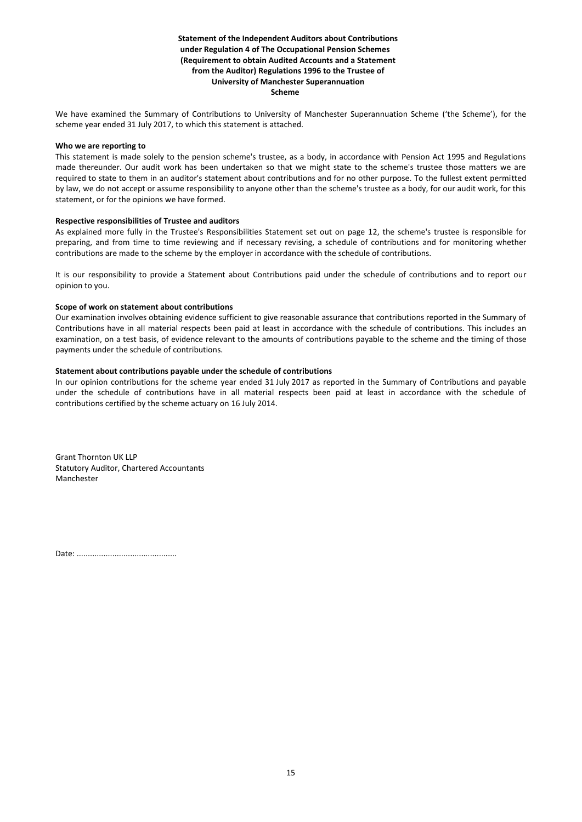## **Statement of the Independent Auditors about Contributions under Regulation 4 of The Occupational Pension Schemes (Requirement to obtain Audited Accounts and a Statement from the Auditor) Regulations 1996 to the Trustee of University of Manchester Superannuation Scheme**

We have examined the Summary of Contributions to University of Manchester Superannuation Scheme ('the Scheme'), for the scheme year ended 31 July 2017, to which this statement is attached.

#### **Who we are reporting to**

This statement is made solely to the pension scheme's trustee, as a body, in accordance with Pension Act 1995 and Regulations made thereunder. Our audit work has been undertaken so that we might state to the scheme's trustee those matters we are required to state to them in an auditor's statement about contributions and for no other purpose. To the fullest extent permitted by law, we do not accept or assume responsibility to anyone other than the scheme's trustee as a body, for our audit work, for this statement, or for the opinions we have formed.

### **Respective responsibilities of Trustee and auditors**

As explained more fully in the Trustee's Responsibilities Statement set out on page 12, the scheme's trustee is responsible for preparing, and from time to time reviewing and if necessary revising, a schedule of contributions and for monitoring whether contributions are made to the scheme by the employer in accordance with the schedule of contributions.

It is our responsibility to provide a Statement about Contributions paid under the schedule of contributions and to report our opinion to you.

### **Scope of work on statement about contributions**

Our examination involves obtaining evidence sufficient to give reasonable assurance that contributions reported in the Summary of Contributions have in all material respects been paid at least in accordance with the schedule of contributions. This includes an examination, on a test basis, of evidence relevant to the amounts of contributions payable to the scheme and the timing of those payments under the schedule of contributions.

### **Statement about contributions payable under the schedule of contributions**

In our opinion contributions for the scheme year ended 31 July 2017 as reported in the Summary of Contributions and payable under the schedule of contributions have in all material respects been paid at least in accordance with the schedule of contributions certified by the scheme actuary on 16 July 2014.

Grant Thornton UK LLP Statutory Auditor, Chartered Accountants Manchester

Date: .............................................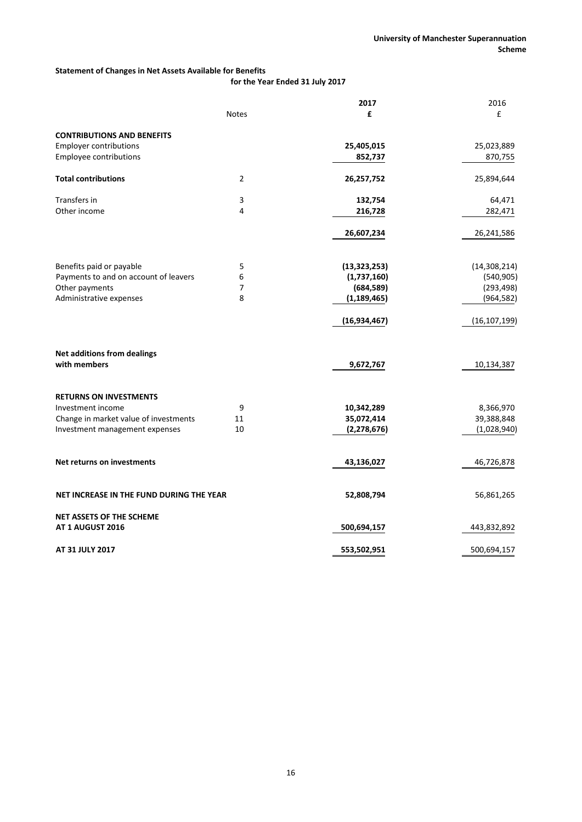# **Statement of Changes in Net Assets Available for Benefits**

**for the Year Ended 31 July 2017**

|                                          |              | 2017           | 2016           |
|------------------------------------------|--------------|----------------|----------------|
|                                          | <b>Notes</b> | £              | £              |
| <b>CONTRIBUTIONS AND BENEFITS</b>        |              |                |                |
| <b>Employer contributions</b>            |              | 25,405,015     | 25,023,889     |
| Employee contributions                   |              | 852,737        | 870,755        |
| <b>Total contributions</b>               | 2            | 26,257,752     | 25,894,644     |
| Transfers in                             | 3            | 132,754        | 64,471         |
| Other income                             | 4            | 216,728        | 282,471        |
|                                          |              | 26,607,234     | 26,241,586     |
| Benefits paid or payable                 | 5            | (13, 323, 253) | (14, 308, 214) |
| Payments to and on account of leavers    | 6            | (1,737,160)    | (540, 905)     |
| Other payments                           | 7            | (684, 589)     | (293, 498)     |
| Administrative expenses                  | 8            | (1, 189, 465)  | (964, 582)     |
|                                          |              | (16, 934, 467) | (16, 107, 199) |
| <b>Net additions from dealings</b>       |              |                |                |
| with members                             |              | 9,672,767      | 10,134,387     |
| <b>RETURNS ON INVESTMENTS</b>            |              |                |                |
| Investment income                        | 9            | 10,342,289     | 8,366,970      |
| Change in market value of investments    | 11           | 35,072,414     | 39,388,848     |
| Investment management expenses           | 10           | (2, 278, 676)  | (1,028,940)    |
| Net returns on investments               |              | 43,136,027     | 46,726,878     |
| NET INCREASE IN THE FUND DURING THE YEAR |              | 52,808,794     | 56,861,265     |
| <b>NET ASSETS OF THE SCHEME</b>          |              |                |                |
| AT 1 AUGUST 2016                         |              | 500,694,157    | 443,832,892    |
| AT 31 JULY 2017                          |              | 553,502,951    | 500,694,157    |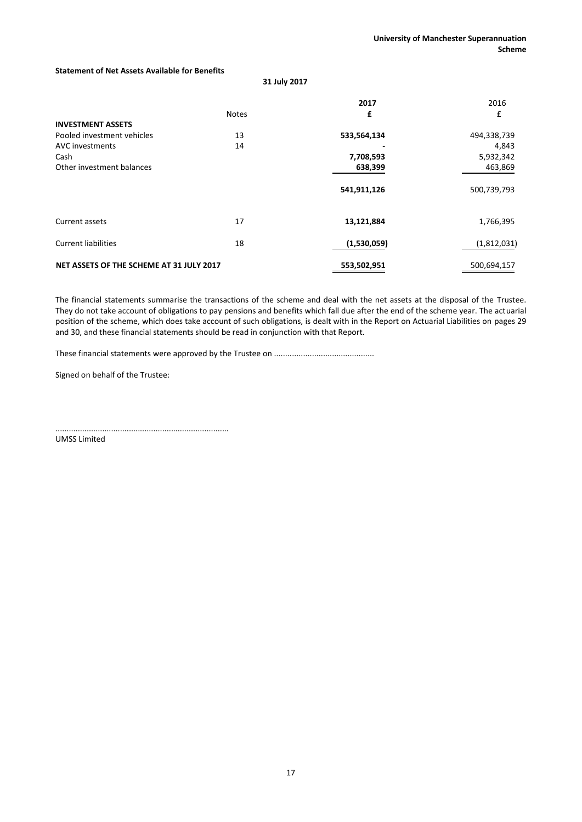## **Statement of Net Assets Available for Benefits**

**31 July 2017**

| <b>INVESTMENT ASSETS</b>                                                           | <b>Notes</b> | 2017<br>£                           | 2016<br>£                                    |
|------------------------------------------------------------------------------------|--------------|-------------------------------------|----------------------------------------------|
| Pooled investment vehicles<br>AVC investments<br>Cash<br>Other investment balances | 13<br>14     | 533,564,134<br>7,708,593<br>638,399 | 494,338,739<br>4,843<br>5,932,342<br>463,869 |
|                                                                                    |              | 541,911,126                         | 500,739,793                                  |
| Current assets<br><b>Current liabilities</b>                                       | 17<br>18     | 13,121,884<br>(1,530,059)           | 1,766,395<br>(1,812,031)                     |
| NET ASSETS OF THE SCHEME AT 31 JULY 2017                                           |              | 553,502,951                         | 500,694,157                                  |

The financial statements summarise the transactions of the scheme and deal with the net assets at the disposal of the Trustee. They do not take account of obligations to pay pensions and benefits which fall due after the end of the scheme year. The actuarial position of the scheme, which does take account of such obligations, is dealt with in the Report on Actuarial Liabilities on pages 29 and 30, and these financial statements should be read in conjunction with that Report.

These financial statements were approved by the Trustee on .............................................

Signed on behalf of the Trustee:

.............................................................................. UMSS Limited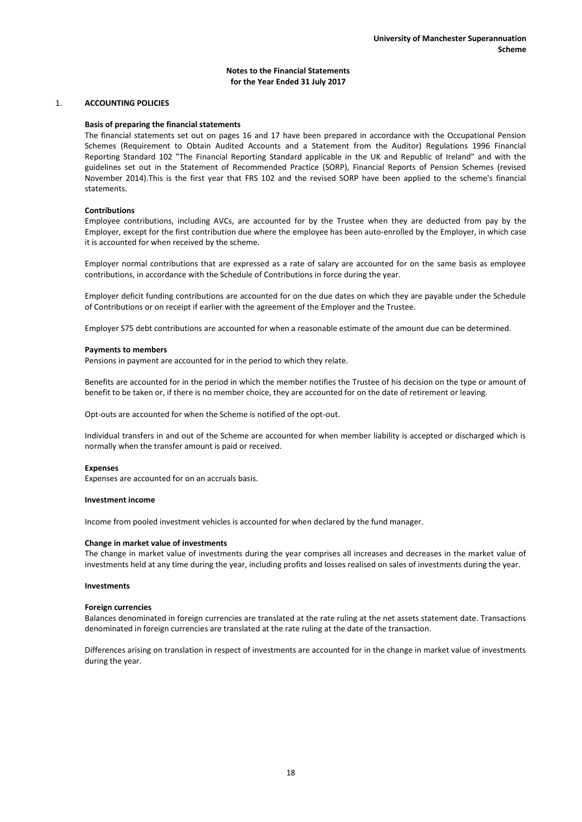## 1. **ACCOUNTING POLICIES**

#### **Basis of preparing the financial statements**

The financial statements set out on pages 16 and 17 have been prepared in accordance with the Occupational Pension Schemes (Requirement to Obtain Audited Accounts and a Statement from the Auditor) Regulations 1996 Financial Reporting Standard 102 "The Financial Reporting Standard applicable in the UK and Republic of Ireland" and with the guidelines set out in the Statement of Recommended Practice (SORP), Financial Reports of Pension Schemes (revised November 2014).This is the first year that FRS 102 and the revised SORP have been applied to the scheme's financial statements.

### **Contributions**

Employee contributions, including AVCs, are accounted for by the Trustee when they are deducted from pay by the Employer, except for the first contribution due where the employee has been auto-enrolled by the Employer, in which case it is accounted for when received by the scheme.

Employer normal contributions that are expressed as a rate of salary are accounted for on the same basis as employee contributions, in accordance with the Schedule of Contributions in force during the year.

Employer deficit funding contributions are accounted for on the due dates on which they are payable under the Schedule of Contributions or on receipt if earlier with the agreement of the Employer and the Trustee.

Employer S75 debt contributions are accounted for when a reasonable estimate of the amount due can be determined.

#### **Payments to members**

Pensions in payment are accounted for in the period to which they relate.

Benefits are accounted for in the period in which the member notifies the Trustee of his decision on the type or amount of benefit to be taken or, if there is no member choice, they are accounted for on the date of retirement or leaving.

Opt-outs are accounted for when the Scheme is notified of the opt-out.

Individual transfers in and out of the Scheme are accounted for when member liability is accepted or discharged which is normally when the transfer amount is paid or received.

#### **Expenses**

Expenses are accounted for on an accruals basis.

#### **Investment income**

Income from pooled investment vehicles is accounted for when declared by the fund manager.

#### **Change in market value of investments**

The change in market value of investments during the year comprises all increases and decreases in the market value of investments held at any time during the year, including profits and losses realised on sales of investments during the year.

#### **Investments**

#### **Foreign currencies**

Balances denominated in foreign currencies are translated at the rate ruling at the net assets statement date. Transactions denominated in foreign currencies are translated at the rate ruling at the date of the transaction.

Differences arising on translation in respect of investments are accounted for in the change in market value of investments during the year.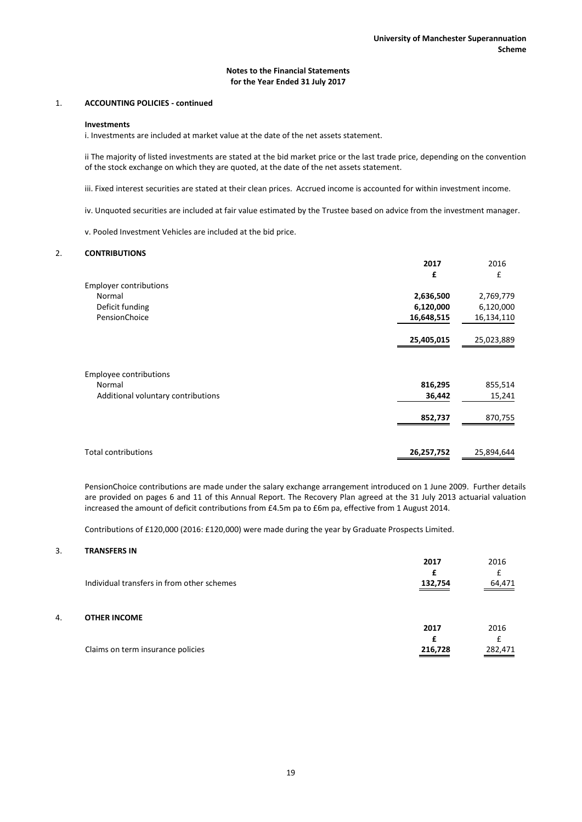## 1. **ACCOUNTING POLICIES - continued**

#### **Investments**

i. Investments are included at market value at the date of the net assets statement.

ii The majority of listed investments are stated at the bid market price or the last trade price, depending on the convention of the stock exchange on which they are quoted, at the date of the net assets statement.

iii. Fixed interest securities are stated at their clean prices. Accrued income is accounted for within investment income.

iv. Unquoted securities are included at fair value estimated by the Trustee based on advice from the investment manager.

v. Pooled Investment Vehicles are included at the bid price.

## 2. **CONTRIBUTIONS**

|                                    | 2017       | 2016       |
|------------------------------------|------------|------------|
|                                    | £          | £          |
| <b>Employer contributions</b>      |            |            |
| Normal                             | 2,636,500  | 2,769,779  |
| Deficit funding                    | 6,120,000  | 6,120,000  |
| PensionChoice                      | 16,648,515 | 16,134,110 |
|                                    | 25,405,015 | 25,023,889 |
|                                    |            |            |
| <b>Employee contributions</b>      |            |            |
| Normal                             | 816,295    | 855,514    |
| Additional voluntary contributions | 36,442     | 15,241     |
|                                    | 852,737    | 870,755    |
|                                    |            |            |
| <b>Total contributions</b>         | 26,257,752 | 25,894,644 |

PensionChoice contributions are made under the salary exchange arrangement introduced on 1 June 2009. Further details are provided on pages 6 and 11 of this Annual Report. The Recovery Plan agreed at the 31 July 2013 actuarial valuation increased the amount of deficit contributions from £4.5m pa to £6m pa, effective from 1 August 2014.

Contributions of £120,000 (2016: £120,000) were made during the year by Graduate Prospects Limited.

## 3. **TRANSFERS IN**

|    | Individual transfers in from other schemes | 2017<br>£<br>132,754 | 2016<br>64,471 |
|----|--------------------------------------------|----------------------|----------------|
| 4. | <b>OTHER INCOME</b>                        | 2017                 | 2016           |
|    | Claims on term insurance policies          | 216,728              | 282,471        |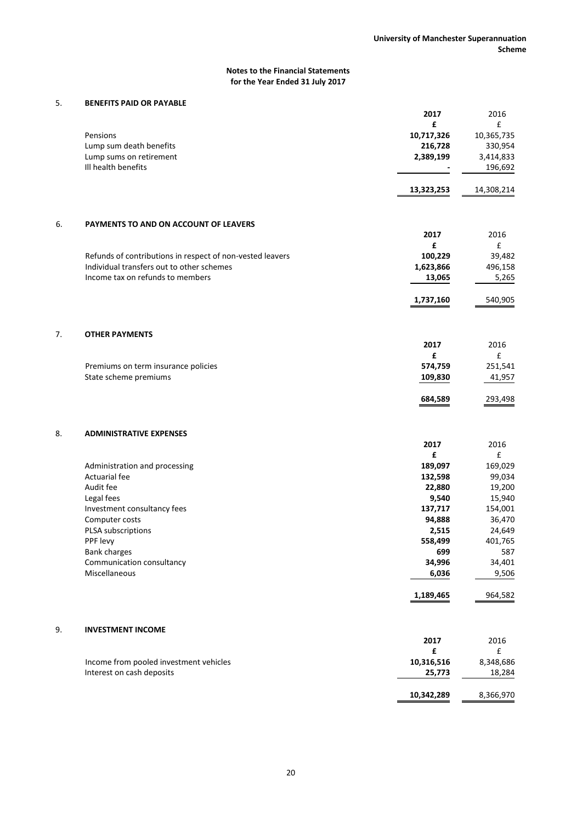# 5. **BENEFITS PAID OR PAYABLE**

|    |                                                           | 2017       | 2016               |
|----|-----------------------------------------------------------|------------|--------------------|
|    |                                                           | £          | £                  |
|    | Pensions                                                  | 10,717,326 | 10,365,735         |
|    | Lump sum death benefits                                   | 216,728    | 330,954            |
|    | Lump sums on retirement                                   | 2,389,199  | 3,414,833          |
|    | Ill health benefits                                       |            | 196,692            |
|    |                                                           | 13,323,253 | 14,308,214         |
|    |                                                           |            |                    |
| 6. | PAYMENTS TO AND ON ACCOUNT OF LEAVERS                     |            |                    |
|    |                                                           | 2017<br>£  | 2016<br>£          |
|    | Refunds of contributions in respect of non-vested leavers | 100,229    | 39,482             |
|    | Individual transfers out to other schemes                 | 1,623,866  | 496,158            |
|    | Income tax on refunds to members                          | 13,065     | 5,265              |
|    |                                                           |            |                    |
|    |                                                           | 1,737,160  | 540,905            |
|    |                                                           |            |                    |
| 7. | <b>OTHER PAYMENTS</b>                                     | 2017       | 2016               |
|    |                                                           | £          | $\pmb{\mathsf{f}}$ |
|    | Premiums on term insurance policies                       | 574,759    | 251,541            |
|    | State scheme premiums                                     | 109,830    | 41,957             |
|    |                                                           | 684,589    | 293,498            |
|    |                                                           |            |                    |
| 8. | <b>ADMINISTRATIVE EXPENSES</b>                            |            |                    |
|    |                                                           | 2017       | 2016               |
|    |                                                           | £          | £                  |
|    | Administration and processing                             | 189,097    | 169,029            |
|    | <b>Actuarial fee</b>                                      | 132,598    | 99,034             |
|    | Audit fee                                                 | 22,880     | 19,200             |
|    | Legal fees                                                | 9,540      | 15,940             |
|    | Investment consultancy fees                               | 137,717    | 154,001            |
|    | Computer costs                                            | 94,888     | 36,470             |
|    | PLSA subscriptions                                        | 2,515      | 24,649             |
|    | PPF levy                                                  | 558,499    | 401,765            |
|    | Bank charges                                              | 699        | 587                |
|    | Communication consultancy                                 | 34,996     | 34,401             |
|    | Miscellaneous                                             | 6,036      | 9,506              |
|    |                                                           | 1,189,465  | 964,582            |
|    |                                                           |            |                    |
| 9. | <b>INVESTMENT INCOME</b>                                  |            |                    |
|    |                                                           | 2017       | 2016               |
|    |                                                           | £          | £                  |
|    | Income from pooled investment vehicles                    | 10,316,516 | 8,348,686          |
|    | Interest on cash deposits                                 | 25,773     | 18,284             |
|    |                                                           |            |                    |
|    |                                                           | 10,342,289 | 8,366,970          |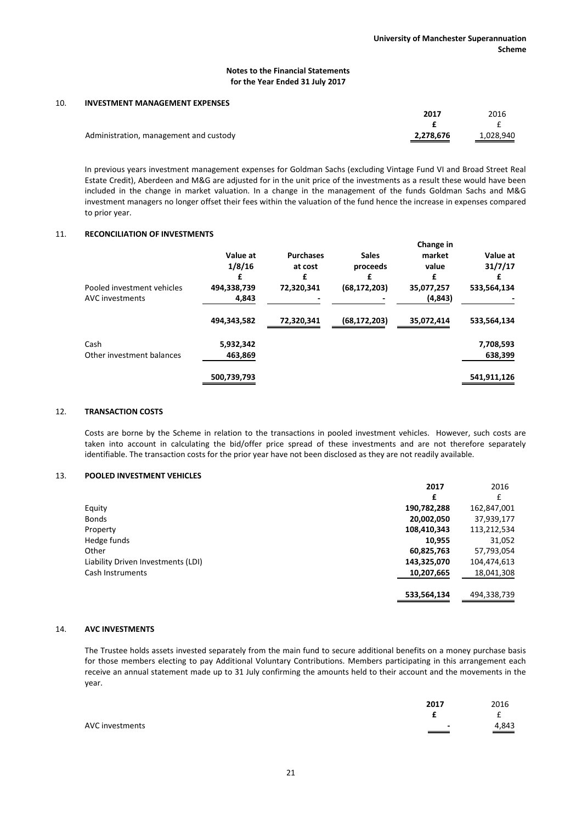#### 10. **INVESTMENT MANAGEMENT EXPENSES**

|                                        | 2017      | 2016      |
|----------------------------------------|-----------|-----------|
|                                        |           |           |
| Administration, management and custody | 2,278,676 | 1,028,940 |

In previous years investment management expenses for Goldman Sachs (excluding Vintage Fund VI and Broad Street Real Estate Credit), Aberdeen and M&G are adjusted for in the unit price of the investments as a result these would have been included in the change in market valuation. In a change in the management of the funds Goldman Sachs and M&G investment managers no longer offset their fees within the valuation of the fund hence the increase in expenses compared to prior year.

# 11. **RECONCILIATION OF INVESTMENTS**

|                            |                    |                  |                | Change in       |             |
|----------------------------|--------------------|------------------|----------------|-----------------|-------------|
|                            | Value at<br>1/8/16 | <b>Purchases</b> | <b>Sales</b>   | market<br>value | Value at    |
|                            |                    | at cost          | proceeds       |                 | 31/7/17     |
|                            |                    | £                | £              | £               |             |
| Pooled investment vehicles | 494,338,739        | 72,320,341       | (68, 172, 203) | 35,077,257      | 533,564,134 |
| AVC investments            | 4,843              |                  |                | (4, 843)        |             |
|                            | 494,343,582        | 72,320,341       | (68, 172, 203) | 35,072,414      | 533,564,134 |
| Cash                       | 5,932,342          |                  |                |                 | 7,708,593   |
| Other investment balances  | 463,869            |                  |                |                 | 638,399     |
|                            | 500,739,793        |                  |                |                 | 541,911,126 |

## 12. **TRANSACTION COSTS**

Costs are borne by the Scheme in relation to the transactions in pooled investment vehicles. However, such costs are taken into account in calculating the bid/offer price spread of these investments and are not therefore separately identifiable. The transaction costs for the prior year have not been disclosed as they are not readily available.

## 13. **POOLED INVESTMENT VEHICLES**

|                                    | 2017        | 2016        |
|------------------------------------|-------------|-------------|
|                                    | £           | £           |
| Equity                             | 190,782,288 | 162,847,001 |
| <b>Bonds</b>                       | 20,002,050  | 37,939,177  |
| Property                           | 108,410,343 | 113,212,534 |
| Hedge funds                        | 10,955      | 31,052      |
| Other                              | 60,825,763  | 57,793,054  |
| Liability Driven Investments (LDI) | 143,325,070 | 104,474,613 |
| Cash Instruments                   | 10,207,665  | 18,041,308  |
|                                    | 533,564,134 | 494,338,739 |

### 14. **AVC INVESTMENTS**

The Trustee holds assets invested separately from the main fund to secure additional benefits on a money purchase basis for those members electing to pay Additional Voluntary Contributions. Members participating in this arrangement each receive an annual statement made up to 31 July confirming the amounts held to their account and the movements in the year.

|                 | 2017                          | 2016     |
|-----------------|-------------------------------|----------|
|                 |                               | <b>.</b> |
| AVC investments | $\overline{\phantom{0}}$<br>— | 4,843    |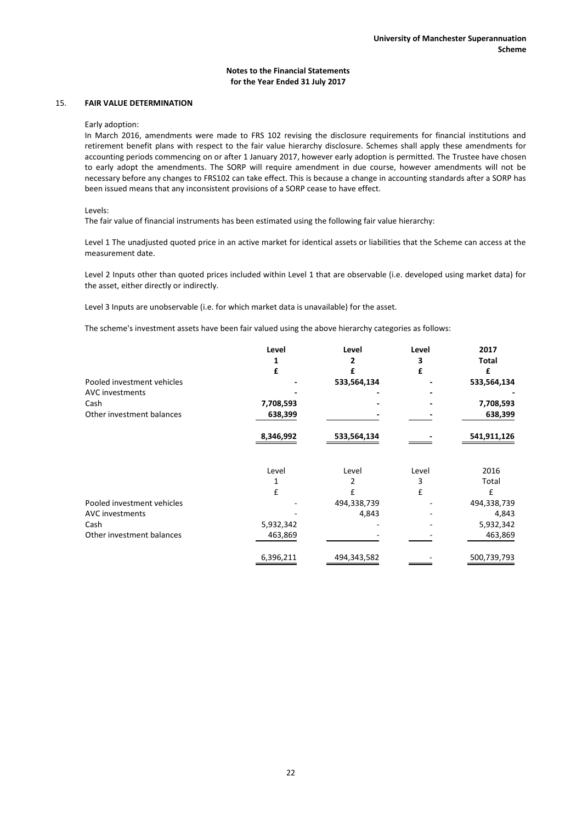## 15. **FAIR VALUE DETERMINATION**

Early adoption:

In March 2016, amendments were made to FRS 102 revising the disclosure requirements for financial institutions and retirement benefit plans with respect to the fair value hierarchy disclosure. Schemes shall apply these amendments for accounting periods commencing on or after 1 January 2017, however early adoption is permitted. The Trustee have chosen to early adopt the amendments. The SORP will require amendment in due course, however amendments will not be necessary before any changes to FRS102 can take effect. This is because a change in accounting standards after a SORP has been issued means that any inconsistent provisions of a SORP cease to have effect.

Levels:

The fair value of financial instruments has been estimated using the following fair value hierarchy:

Level 1 The unadjusted quoted price in an active market for identical assets or liabilities that the Scheme can access at the measurement date.

Level 2 Inputs other than quoted prices included within Level 1 that are observable (i.e. developed using market data) for the asset, either directly or indirectly.

Level 3 Inputs are unobservable (i.e. for which market data is unavailable) for the asset.

The scheme's investment assets have been fair valued using the above hierarchy categories as follows:

|                            | Level     | Level       | Level | 2017        |
|----------------------------|-----------|-------------|-------|-------------|
|                            |           | 2           | 3     | Total       |
|                            | £         | £           | £     | £           |
| Pooled investment vehicles |           | 533,564,134 |       | 533,564,134 |
| <b>AVC</b> investments     |           |             |       |             |
| Cash                       | 7,708,593 |             |       | 7,708,593   |
| Other investment balances  | 638,399   |             |       | 638,399     |
|                            | 8,346,992 | 533,564,134 |       | 541,911,126 |
|                            | Level     | Level       | Level | 2016        |
|                            |           | 2           | 3     | Total       |
|                            | £         | £           | £     | £           |
| Pooled investment vehicles |           | 494,338,739 |       | 494,338,739 |
| <b>AVC</b> investments     |           | 4,843       |       | 4,843       |
| Cash                       | 5,932,342 |             |       | 5,932,342   |
| Other investment balances  | 463,869   |             |       | 463,869     |
|                            | 6,396,211 | 494,343,582 |       | 500,739,793 |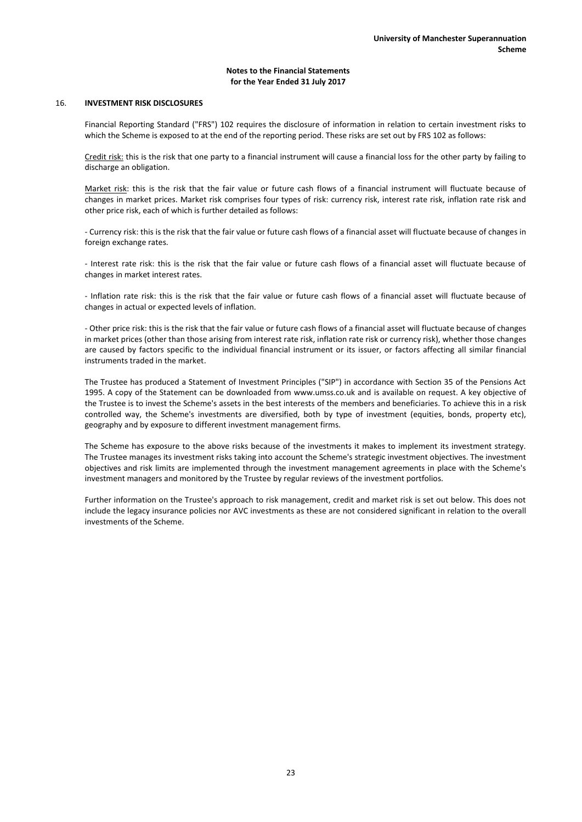## 16. **INVESTMENT RISK DISCLOSURES**

Financial Reporting Standard ("FRS") 102 requires the disclosure of information in relation to certain investment risks to which the Scheme is exposed to at the end of the reporting period. These risks are set out by FRS 102 as follows:

Credit risk: this is the risk that one party to a financial instrument will cause a financial loss for the other party by failing to discharge an obligation.

Market risk: this is the risk that the fair value or future cash flows of a financial instrument will fluctuate because of changes in market prices. Market risk comprises four types of risk: currency risk, interest rate risk, inflation rate risk and other price risk, each of which is further detailed as follows:

- Currency risk: this is the risk that the fair value or future cash flows of a financial asset will fluctuate because of changes in foreign exchange rates.

- Interest rate risk: this is the risk that the fair value or future cash flows of a financial asset will fluctuate because of changes in market interest rates.

- Inflation rate risk: this is the risk that the fair value or future cash flows of a financial asset will fluctuate because of changes in actual or expected levels of inflation.

- Other price risk: this is the risk that the fair value or future cash flows of a financial asset will fluctuate because of changes in market prices (other than those arising from interest rate risk, inflation rate risk or currency risk), whether those changes are caused by factors specific to the individual financial instrument or its issuer, or factors affecting all similar financial instruments traded in the market.

The Trustee has produced a Statement of Investment Principles ("SIP") in accordance with Section 35 of the Pensions Act 1995. A copy of the Statement can be downloaded from www.umss.co.uk and is available on request. A key objective of the Trustee is to invest the Scheme's assets in the best interests of the members and beneficiaries. To achieve this in a risk controlled way, the Scheme's investments are diversified, both by type of investment (equities, bonds, property etc), geography and by exposure to different investment management firms.

The Scheme has exposure to the above risks because of the investments it makes to implement its investment strategy. The Trustee manages its investment risks taking into account the Scheme's strategic investment objectives. The investment objectives and risk limits are implemented through the investment management agreements in place with the Scheme's investment managers and monitored by the Trustee by regular reviews of the investment portfolios.

Further information on the Trustee's approach to risk management, credit and market risk is set out below. This does not include the legacy insurance policies nor AVC investments as these are not considered significant in relation to the overall investments of the Scheme.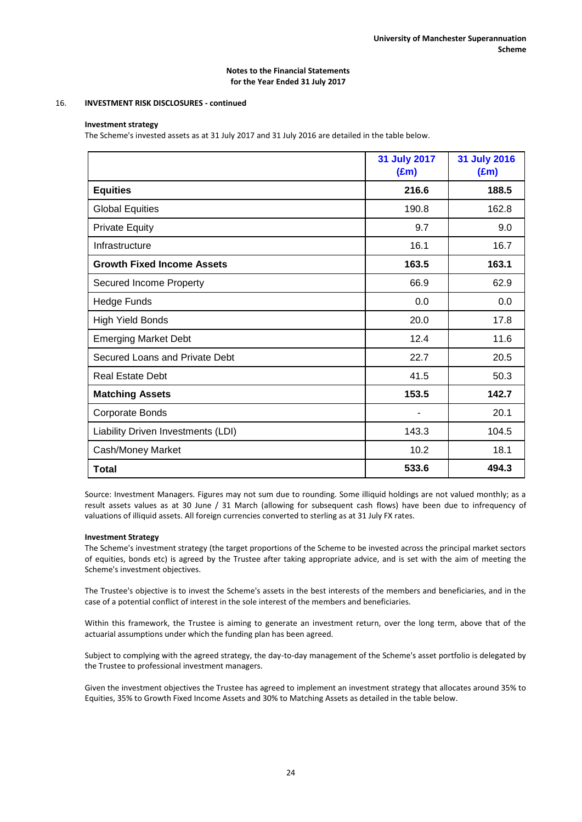## 16. **INVESTMENT RISK DISCLOSURES - continued**

## **Investment strategy**

The Scheme's invested assets as at 31 July 2017 and 31 July 2016 are detailed in the table below.

|                                    | 31 July 2017<br>$(\text{Em})$ | 31 July 2016<br>$(\text{Em})$ |
|------------------------------------|-------------------------------|-------------------------------|
| <b>Equities</b>                    | 216.6                         | 188.5                         |
| <b>Global Equities</b>             | 190.8                         | 162.8                         |
| <b>Private Equity</b>              | 9.7                           | 9.0                           |
| Infrastructure                     | 16.1                          | 16.7                          |
| <b>Growth Fixed Income Assets</b>  | 163.5                         | 163.1                         |
| <b>Secured Income Property</b>     | 66.9                          | 62.9                          |
| <b>Hedge Funds</b>                 | 0.0                           | 0.0                           |
| <b>High Yield Bonds</b>            | 20.0                          | 17.8                          |
| <b>Emerging Market Debt</b>        | 12.4                          | 11.6                          |
| Secured Loans and Private Debt     | 22.7                          | 20.5                          |
| <b>Real Estate Debt</b>            | 41.5                          | 50.3                          |
| <b>Matching Assets</b>             | 153.5                         | 142.7                         |
| Corporate Bonds                    |                               | 20.1                          |
| Liability Driven Investments (LDI) | 143.3                         | 104.5                         |
| Cash/Money Market                  | 10.2                          | 18.1                          |
| <b>Total</b>                       | 533.6                         | 494.3                         |

Source: Investment Managers. Figures may not sum due to rounding. Some illiquid holdings are not valued monthly; as a result assets values as at 30 June / 31 March (allowing for subsequent cash flows) have been due to infrequency of valuations of illiquid assets. All foreign currencies converted to sterling as at 31 July FX rates.

## **Investment Strategy**

The Scheme's investment strategy (the target proportions of the Scheme to be invested across the principal market sectors of equities, bonds etc) is agreed by the Trustee after taking appropriate advice, and is set with the aim of meeting the Scheme's investment objectives.

The Trustee's objective is to invest the Scheme's assets in the best interests of the members and beneficiaries, and in the case of a potential conflict of interest in the sole interest of the members and beneficiaries.

Within this framework, the Trustee is aiming to generate an investment return, over the long term, above that of the actuarial assumptions under which the funding plan has been agreed.

Subject to complying with the agreed strategy, the day-to-day management of the Scheme's asset portfolio is delegated by the Trustee to professional investment managers.

Given the investment objectives the Trustee has agreed to implement an investment strategy that allocates around 35% to Equities, 35% to Growth Fixed Income Assets and 30% to Matching Assets as detailed in the table below.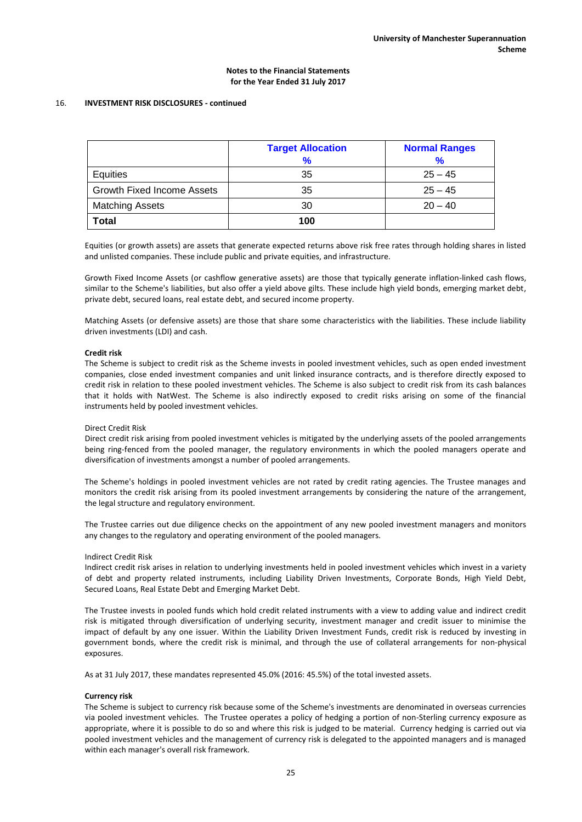## 16. **INVESTMENT RISK DISCLOSURES - continued**

|                                   | <b>Target Allocation</b><br>% | <b>Normal Ranges</b><br>$\frac{9}{6}$ |
|-----------------------------------|-------------------------------|---------------------------------------|
| Equities                          | 35                            | $25 - 45$                             |
| <b>Growth Fixed Income Assets</b> | 35                            | $25 - 45$                             |
| <b>Matching Assets</b>            | 30                            | $20 - 40$                             |
| <b>Total</b>                      | 100                           |                                       |

Equities (or growth assets) are assets that generate expected returns above risk free rates through holding shares in listed and unlisted companies. These include public and private equities, and infrastructure.

Growth Fixed Income Assets (or cashflow generative assets) are those that typically generate inflation-linked cash flows, similar to the Scheme's liabilities, but also offer a yield above gilts. These include high yield bonds, emerging market debt, private debt, secured loans, real estate debt, and secured income property.

Matching Assets (or defensive assets) are those that share some characteristics with the liabilities. These include liability driven investments (LDI) and cash.

### **Credit risk**

The Scheme is subject to credit risk as the Scheme invests in pooled investment vehicles, such as open ended investment companies, close ended investment companies and unit linked insurance contracts, and is therefore directly exposed to credit risk in relation to these pooled investment vehicles. The Scheme is also subject to credit risk from its cash balances that it holds with NatWest. The Scheme is also indirectly exposed to credit risks arising on some of the financial instruments held by pooled investment vehicles.

#### Direct Credit Risk

Direct credit risk arising from pooled investment vehicles is mitigated by the underlying assets of the pooled arrangements being ring-fenced from the pooled manager, the regulatory environments in which the pooled managers operate and diversification of investments amongst a number of pooled arrangements.

The Scheme's holdings in pooled investment vehicles are not rated by credit rating agencies. The Trustee manages and monitors the credit risk arising from its pooled investment arrangements by considering the nature of the arrangement, the legal structure and regulatory environment.

The Trustee carries out due diligence checks on the appointment of any new pooled investment managers and monitors any changes to the regulatory and operating environment of the pooled managers.

#### Indirect Credit Risk

Indirect credit risk arises in relation to underlying investments held in pooled investment vehicles which invest in a variety of debt and property related instruments, including Liability Driven Investments, Corporate Bonds, High Yield Debt, Secured Loans, Real Estate Debt and Emerging Market Debt.

The Trustee invests in pooled funds which hold credit related instruments with a view to adding value and indirect credit risk is mitigated through diversification of underlying security, investment manager and credit issuer to minimise the impact of default by any one issuer. Within the Liability Driven Investment Funds, credit risk is reduced by investing in government bonds, where the credit risk is minimal, and through the use of collateral arrangements for non-physical exposures.

As at 31 July 2017, these mandates represented 45.0% (2016: 45.5%) of the total invested assets.

#### **Currency risk**

The Scheme is subject to currency risk because some of the Scheme's investments are denominated in overseas currencies via pooled investment vehicles. The Trustee operates a policy of hedging a portion of non-Sterling currency exposure as appropriate, where it is possible to do so and where this risk is judged to be material. Currency hedging is carried out via pooled investment vehicles and the management of currency risk is delegated to the appointed managers and is managed within each manager's overall risk framework.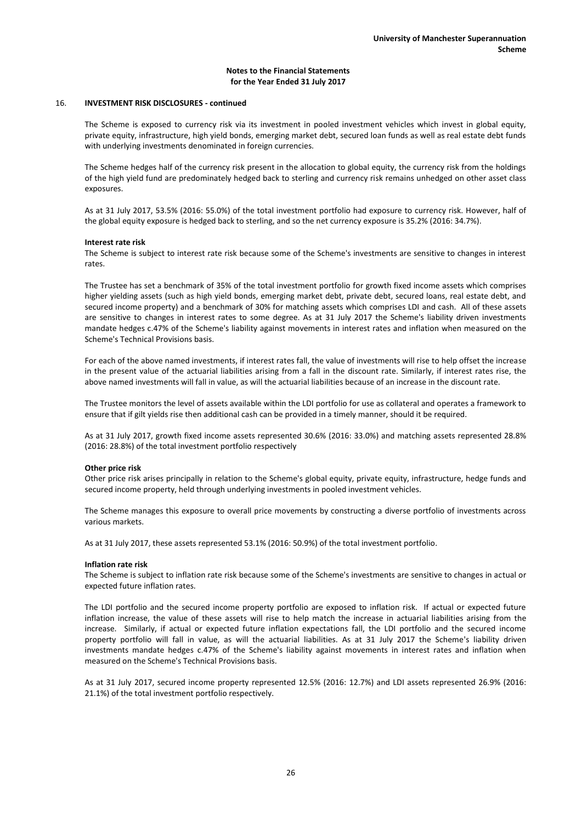#### 16. **INVESTMENT RISK DISCLOSURES - continued**

The Scheme is exposed to currency risk via its investment in pooled investment vehicles which invest in global equity, private equity, infrastructure, high yield bonds, emerging market debt, secured loan funds as well as real estate debt funds with underlying investments denominated in foreign currencies.

The Scheme hedges half of the currency risk present in the allocation to global equity, the currency risk from the holdings of the high yield fund are predominately hedged back to sterling and currency risk remains unhedged on other asset class exposures.

As at 31 July 2017, 53.5% (2016: 55.0%) of the total investment portfolio had exposure to currency risk. However, half of the global equity exposure is hedged back to sterling, and so the net currency exposure is 35.2% (2016: 34.7%).

#### **Interest rate risk**

The Scheme is subject to interest rate risk because some of the Scheme's investments are sensitive to changes in interest rates.

The Trustee has set a benchmark of 35% of the total investment portfolio for growth fixed income assets which comprises higher yielding assets (such as high yield bonds, emerging market debt, private debt, secured loans, real estate debt, and secured income property) and a benchmark of 30% for matching assets which comprises LDI and cash. All of these assets are sensitive to changes in interest rates to some degree. As at 31 July 2017 the Scheme's liability driven investments mandate hedges c.47% of the Scheme's liability against movements in interest rates and inflation when measured on the Scheme's Technical Provisions basis.

For each of the above named investments, if interest rates fall, the value of investments will rise to help offset the increase in the present value of the actuarial liabilities arising from a fall in the discount rate. Similarly, if interest rates rise, the above named investments will fall in value, as will the actuarial liabilities because of an increase in the discount rate.

The Trustee monitors the level of assets available within the LDI portfolio for use as collateral and operates a framework to ensure that if gilt yields rise then additional cash can be provided in a timely manner, should it be required.

As at 31 July 2017, growth fixed income assets represented 30.6% (2016: 33.0%) and matching assets represented 28.8% (2016: 28.8%) of the total investment portfolio respectively

#### **Other price risk**

Other price risk arises principally in relation to the Scheme's global equity, private equity, infrastructure, hedge funds and secured income property, held through underlying investments in pooled investment vehicles.

The Scheme manages this exposure to overall price movements by constructing a diverse portfolio of investments across various markets.

As at 31 July 2017, these assets represented 53.1% (2016: 50.9%) of the total investment portfolio.

#### **Inflation rate risk**

The Scheme is subject to inflation rate risk because some of the Scheme's investments are sensitive to changes in actual or expected future inflation rates.

The LDI portfolio and the secured income property portfolio are exposed to inflation risk. If actual or expected future inflation increase, the value of these assets will rise to help match the increase in actuarial liabilities arising from the increase. Similarly, if actual or expected future inflation expectations fall, the LDI portfolio and the secured income property portfolio will fall in value, as will the actuarial liabilities. As at 31 July 2017 the Scheme's liability driven investments mandate hedges c.47% of the Scheme's liability against movements in interest rates and inflation when measured on the Scheme's Technical Provisions basis.

As at 31 July 2017, secured income property represented 12.5% (2016: 12.7%) and LDI assets represented 26.9% (2016: 21.1%) of the total investment portfolio respectively.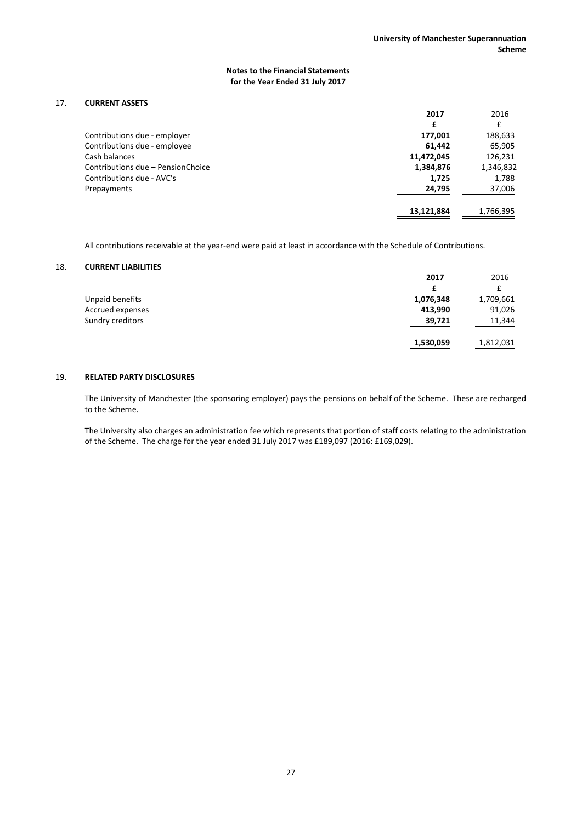# 17. **CURRENT ASSETS**

|                                   | 2017       | 2016      |
|-----------------------------------|------------|-----------|
|                                   | £          | £         |
| Contributions due - employer      | 177,001    | 188,633   |
| Contributions due - employee      | 61.442     | 65,905    |
| Cash balances                     | 11,472,045 | 126,231   |
| Contributions due - PensionChoice | 1,384,876  | 1,346,832 |
| Contributions due - AVC's         | 1,725      | 1,788     |
| Prepayments                       | 24,795     | 37,006    |
|                                   | 13.121.884 | 1,766,395 |

All contributions receivable at the year-end were paid at least in accordance with the Schedule of Contributions.

## 18. **CURRENT LIABILITIES**

|                  | 2017      | 2016      |
|------------------|-----------|-----------|
|                  | £         | £         |
| Unpaid benefits  | 1,076,348 | 1,709,661 |
| Accrued expenses | 413,990   | 91,026    |
| Sundry creditors | 39,721    | 11,344    |
|                  | 1,530,059 | 1,812,031 |

## 19. **RELATED PARTY DISCLOSURES**

The University of Manchester (the sponsoring employer) pays the pensions on behalf of the Scheme. These are recharged to the Scheme.

The University also charges an administration fee which represents that portion of staff costs relating to the administration of the Scheme. The charge for the year ended 31 July 2017 was £189,097 (2016: £169,029).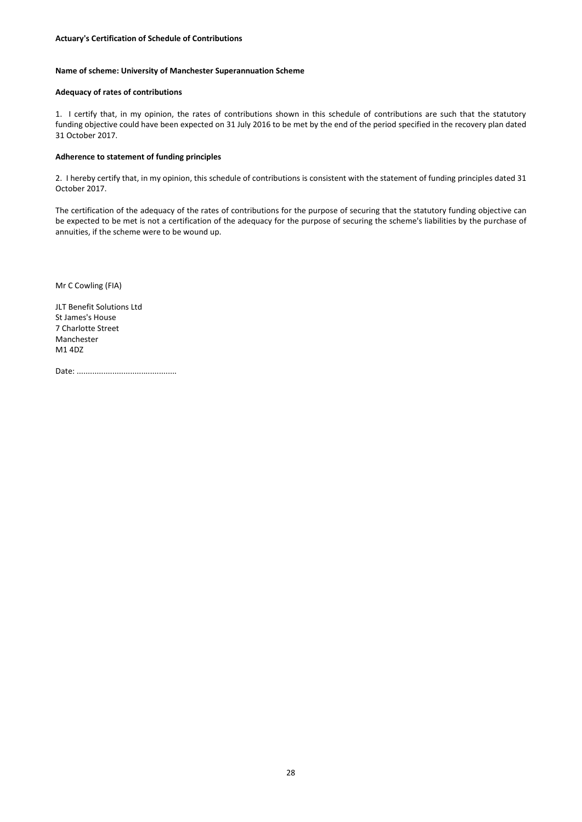### **Name of scheme: University of Manchester Superannuation Scheme**

#### **Adequacy of rates of contributions**

1. I certify that, in my opinion, the rates of contributions shown in this schedule of contributions are such that the statutory funding objective could have been expected on 31 July 2016 to be met by the end of the period specified in the recovery plan dated 31 October 2017.

## **Adherence to statement of funding principles**

2. I hereby certify that, in my opinion, this schedule of contributions is consistent with the statement of funding principles dated 31 October 2017.

The certification of the adequacy of the rates of contributions for the purpose of securing that the statutory funding objective can be expected to be met is not a certification of the adequacy for the purpose of securing the scheme's liabilities by the purchase of annuities, if the scheme were to be wound up.

Mr C Cowling (FIA)

JLT Benefit Solutions Ltd St James's House 7 Charlotte Street Manchester M1 4DZ

Date: .............................................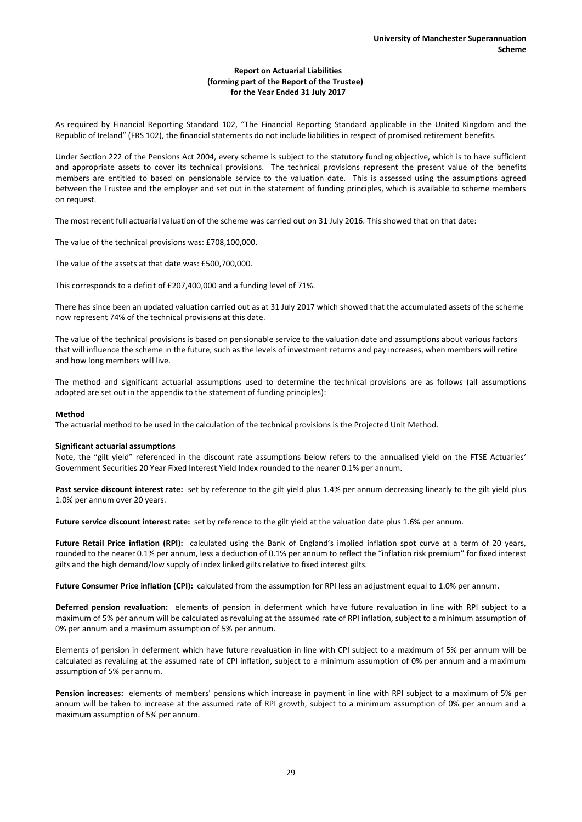## **Report on Actuarial Liabilities (forming part of the Report of the Trustee) for the Year Ended 31 July 2017**

As required by Financial Reporting Standard 102, "The Financial Reporting Standard applicable in the United Kingdom and the Republic of Ireland" (FRS 102), the financial statements do not include liabilities in respect of promised retirement benefits.

Under Section 222 of the Pensions Act 2004, every scheme is subject to the statutory funding objective, which is to have sufficient and appropriate assets to cover its technical provisions. The technical provisions represent the present value of the benefits members are entitled to based on pensionable service to the valuation date. This is assessed using the assumptions agreed between the Trustee and the employer and set out in the statement of funding principles, which is available to scheme members on request.

The most recent full actuarial valuation of the scheme was carried out on 31 July 2016. This showed that on that date:

The value of the technical provisions was: £708,100,000.

The value of the assets at that date was: £500,700,000.

This corresponds to a deficit of £207,400,000 and a funding level of 71%.

There has since been an updated valuation carried out as at 31 July 2017 which showed that the accumulated assets of the scheme now represent 74% of the technical provisions at this date.

The value of the technical provisions is based on pensionable service to the valuation date and assumptions about various factors that will influence the scheme in the future, such as the levels of investment returns and pay increases, when members will retire and how long members will live.

The method and significant actuarial assumptions used to determine the technical provisions are as follows (all assumptions adopted are set out in the appendix to the statement of funding principles):

#### **Method**

The actuarial method to be used in the calculation of the technical provisions is the Projected Unit Method.

#### **Significant actuarial assumptions**

Note, the "gilt yield" referenced in the discount rate assumptions below refers to the annualised yield on the FTSE Actuaries' Government Securities 20 Year Fixed Interest Yield Index rounded to the nearer 0.1% per annum.

**Past service discount interest rate:** set by reference to the gilt yield plus 1.4% per annum decreasing linearly to the gilt yield plus 1.0% per annum over 20 years.

**Future service discount interest rate:** set by reference to the gilt yield at the valuation date plus 1.6% per annum.

**Future Retail Price inflation (RPI):** calculated using the Bank of England's implied inflation spot curve at a term of 20 years, rounded to the nearer 0.1% per annum, less a deduction of 0.1% per annum to reflect the "inflation risk premium" for fixed interest gilts and the high demand/low supply of index linked gilts relative to fixed interest gilts.

**Future Consumer Price inflation (CPI):** calculated from the assumption for RPI less an adjustment equal to 1.0% per annum.

**Deferred pension revaluation:** elements of pension in deferment which have future revaluation in line with RPI subject to a maximum of 5% per annum will be calculated as revaluing at the assumed rate of RPI inflation, subject to a minimum assumption of 0% per annum and a maximum assumption of 5% per annum.

Elements of pension in deferment which have future revaluation in line with CPI subject to a maximum of 5% per annum will be calculated as revaluing at the assumed rate of CPI inflation, subject to a minimum assumption of 0% per annum and a maximum assumption of 5% per annum.

**Pension increases:** elements of members' pensions which increase in payment in line with RPI subject to a maximum of 5% per annum will be taken to increase at the assumed rate of RPI growth, subject to a minimum assumption of 0% per annum and a maximum assumption of 5% per annum.